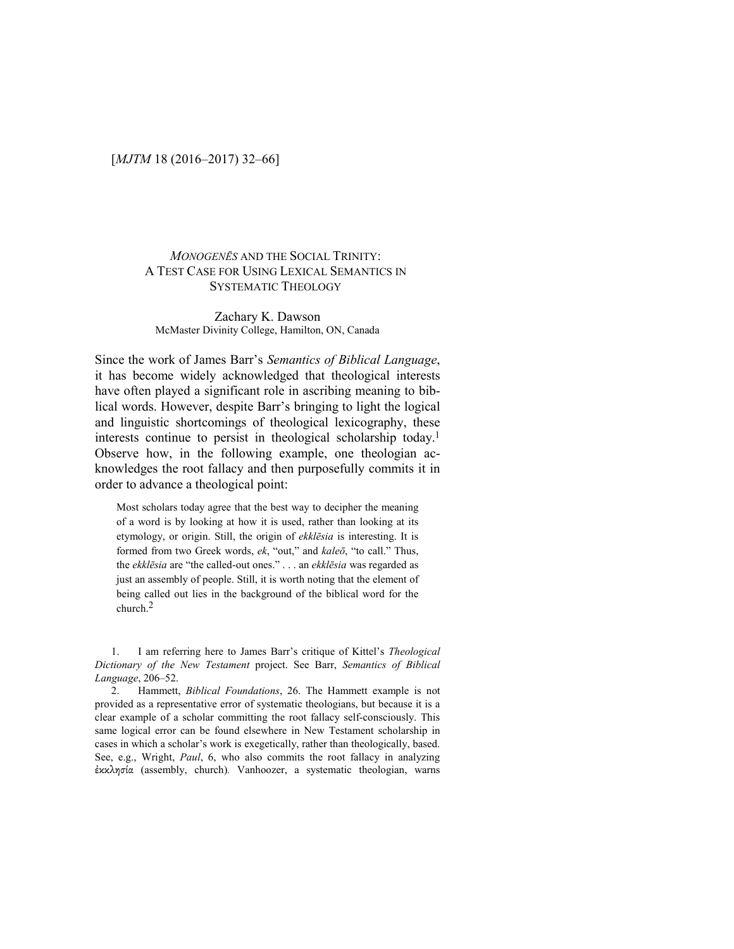## [*MJTM* 18 (2016–2017) 32–66]

## *MONOGENĒS* AND THE SOCIAL TRINITY: A TEST CASE FOR USING LEXICAL SEMANTICS IN SYSTEMATIC THEOLOGY

#### Zachary K. Dawson McMaster Divinity College, Hamilton, ON, Canada

Since the work of James Barr's *Semantics of Biblical Language*, it has become widely acknowledged that theological interests have often played a significant role in ascribing meaning to biblical words. However, despite Barr's bringing to light the logical and linguistic shortcomings of theological lexicography, these interests continue to persist in theological scholarship today.<sup>1</sup> Observe how, in the following example, one theologian acknowledges the root fallacy and then purposefully commits it in order to advance a theological point:

Most scholars today agree that the best way to decipher the meaning of a word is by looking at how it is used, rather than looking at its etymology, or origin. Still, the origin of *ekklēsia* is interesting. It is formed from two Greek words, *ek*, "out," and *kaleō*, "to call." Thus, the *ekklēsia* are "the called-out ones." . . . an *ekklēsia* was regarded as just an assembly of people. Still, it is worth noting that the element of being called out lies in the background of the biblical word for the church.2

1. I am referring here to James Barr's critique of Kittel's *Theological Dictionary of the New Testament* project. See Barr, *Semantics of Biblical Language*, 206–52.

2. Hammett, *Biblical Foundations*, 26. The Hammett example is not provided as a representative error of systematic theologians, but because it is a clear example of a scholar committing the root fallacy self-consciously. This same logical error can be found elsewhere in New Testament scholarship in cases in which a scholar's work is exegetically, rather than theologically, based. See, e.g., Wright, *Paul*, 6, who also commits the root fallacy in analyzing ἐκκλησία (assembly, church)*.* Vanhoozer, a systematic theologian, warns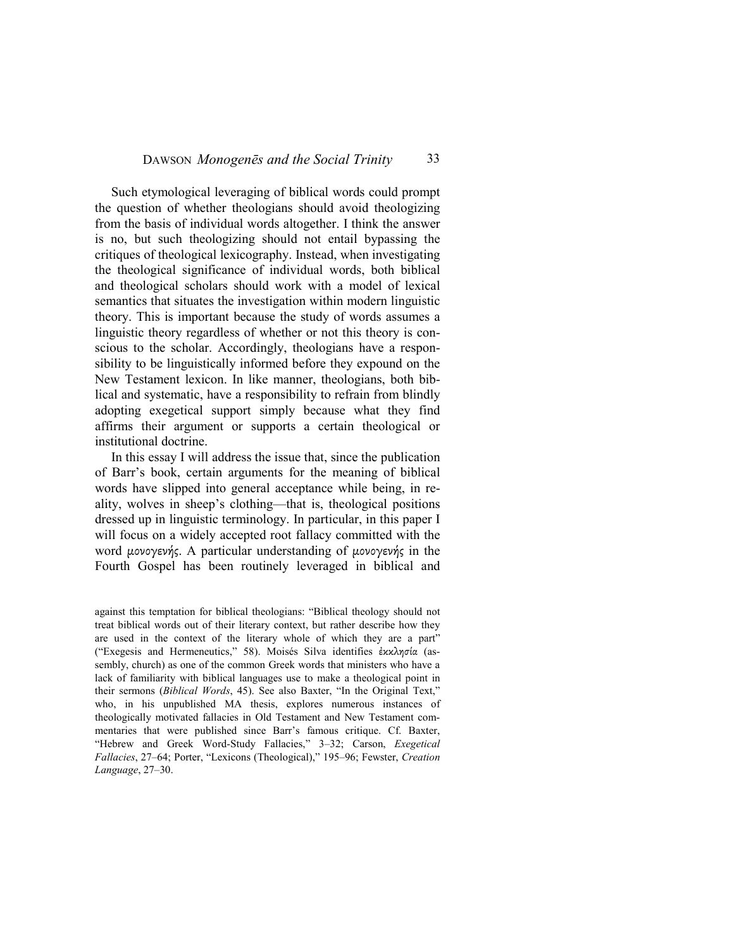Such etymological leveraging of biblical words could prompt the question of whether theologians should avoid theologizing from the basis of individual words altogether. I think the answer is no, but such theologizing should not entail bypassing the critiques of theological lexicography. Instead, when investigating the theological significance of individual words, both biblical and theological scholars should work with a model of lexical semantics that situates the investigation within modern linguistic theory. This is important because the study of words assumes a linguistic theory regardless of whether or not this theory is conscious to the scholar. Accordingly, theologians have a responsibility to be linguistically informed before they expound on the New Testament lexicon. In like manner, theologians, both biblical and systematic, have a responsibility to refrain from blindly adopting exegetical support simply because what they find affirms their argument or supports a certain theological or institutional doctrine.

In this essay I will address the issue that, since the publication of Barr's book, certain arguments for the meaning of biblical words have slipped into general acceptance while being, in reality, wolves in sheep's clothing—that is, theological positions dressed up in linguistic terminology. In particular, in this paper I will focus on a widely accepted root fallacy committed with the word µονογενής. A particular understanding of µονογενής in the Fourth Gospel has been routinely leveraged in biblical and

against this temptation for biblical theologians: "Biblical theology should not treat biblical words out of their literary context, but rather describe how they are used in the context of the literary whole of which they are a part" ("Exegesis and Hermeneutics," 58). Moisés Silva identifies ἐκκλησία (assembly, church) as one of the common Greek words that ministers who have a lack of familiarity with biblical languages use to make a theological point in their sermons (*Biblical Words*, 45). See also Baxter, "In the Original Text," who, in his unpublished MA thesis, explores numerous instances of theologically motivated fallacies in Old Testament and New Testament commentaries that were published since Barr's famous critique. Cf. Baxter, "Hebrew and Greek Word-Study Fallacies," 3–32; Carson, *Exegetical Fallacies*, 27–64; Porter, "Lexicons (Theological)," 195–96; Fewster, *Creation Language*, 27–30.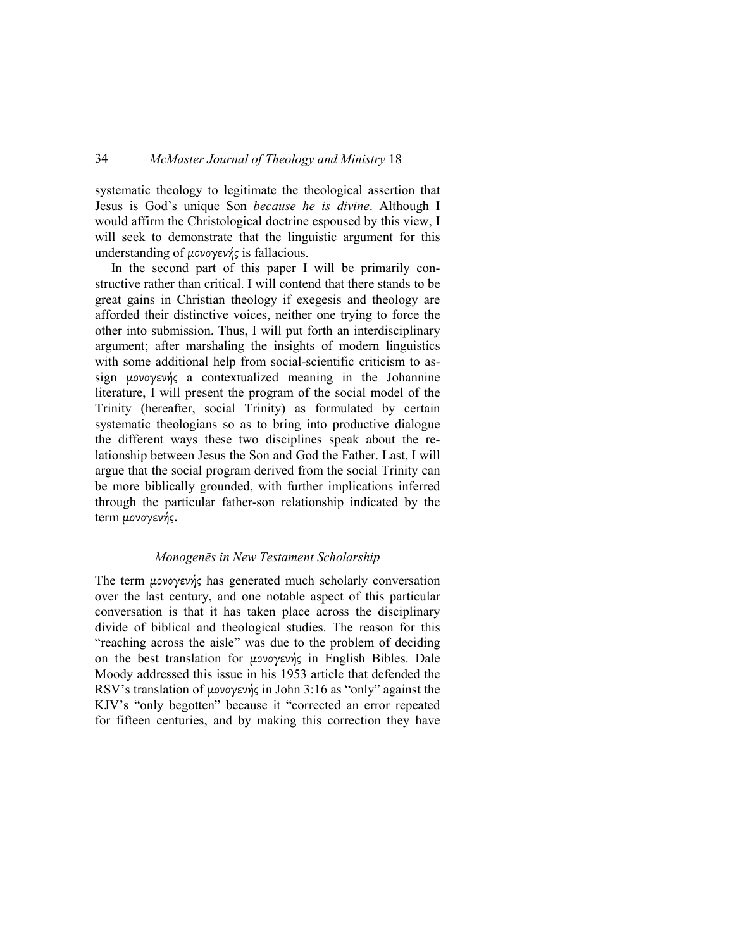systematic theology to legitimate the theological assertion that Jesus is God's unique Son *because he is divine*. Although I would affirm the Christological doctrine espoused by this view, I will seek to demonstrate that the linguistic argument for this understanding of µονογενής is fallacious.

In the second part of this paper I will be primarily constructive rather than critical. I will contend that there stands to be great gains in Christian theology if exegesis and theology are afforded their distinctive voices, neither one trying to force the other into submission. Thus, I will put forth an interdisciplinary argument; after marshaling the insights of modern linguistics with some additional help from social-scientific criticism to assign µονογενής a contextualized meaning in the Johannine literature, I will present the program of the social model of the Trinity (hereafter, social Trinity) as formulated by certain systematic theologians so as to bring into productive dialogue the different ways these two disciplines speak about the relationship between Jesus the Son and God the Father. Last, I will argue that the social program derived from the social Trinity can be more biblically grounded, with further implications inferred through the particular father-son relationship indicated by the term µονογενής.

### *Monogenēs in New Testament Scholarship*

The term µονογενής has generated much scholarly conversation over the last century, and one notable aspect of this particular conversation is that it has taken place across the disciplinary divide of biblical and theological studies. The reason for this "reaching across the aisle" was due to the problem of deciding on the best translation for µονογενής in English Bibles. Dale Moody addressed this issue in his 1953 article that defended the RSV's translation of µονογενής in John 3:16 as "only" against the KJV's "only begotten" because it "corrected an error repeated for fifteen centuries, and by making this correction they have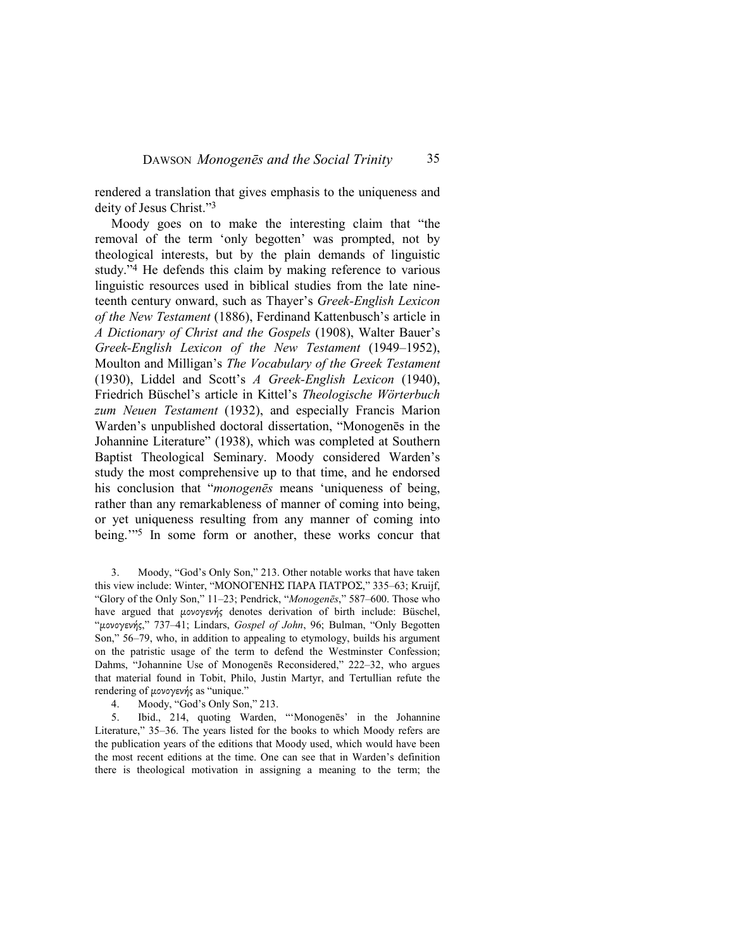rendered a translation that gives emphasis to the uniqueness and deity of Jesus Christ."<sup>3</sup>

Moody goes on to make the interesting claim that "the removal of the term 'only begotten' was prompted, not by theological interests, but by the plain demands of linguistic study."4 He defends this claim by making reference to various linguistic resources used in biblical studies from the late nineteenth century onward, such as Thayer's *Greek-English Lexicon of the New Testament* (1886), Ferdinand Kattenbusch's article in *A Dictionary of Christ and the Gospels* (1908), Walter Bauer's *Greek-English Lexicon of the New Testament* (1949–1952), Moulton and Milligan's *The Vocabulary of the Greek Testament*  (1930), Liddel and Scott's *A Greek-English Lexicon* (1940), Friedrich Büschel's article in Kittel's *Theologische Wörterbuch zum Neuen Testament* (1932), and especially Francis Marion Warden's unpublished doctoral dissertation, "Monogenēs in the Johannine Literature" (1938), which was completed at Southern Baptist Theological Seminary. Moody considered Warden's study the most comprehensive up to that time, and he endorsed his conclusion that "*monogenēs* means 'uniqueness of being, rather than any remarkableness of manner of coming into being, or yet uniqueness resulting from any manner of coming into being.'"5 In some form or another, these works concur that

3. Moody, "God's Only Son," 213. Other notable works that have taken this view include: Winter, "ΜΟΝΟΓΕΝΗΣ ΠΑΡΑ ΠΑΤΡΟΣ," 335–63; Kruijf, "Glory of the Only Son," 11–23; Pendrick, "*Monogenēs*," 587–600. Those who have argued that µονογενής denotes derivation of birth include: Büschel, "µονογενής," 737–41; Lindars, *Gospel of John*, 96; Bulman, "Only Begotten Son," 56–79, who, in addition to appealing to etymology, builds his argument on the patristic usage of the term to defend the Westminster Confession; Dahms, "Johannine Use of Monogenēs Reconsidered," 222–32, who argues that material found in Tobit, Philo, Justin Martyr, and Tertullian refute the rendering of µονογενής as "unique."

4. Moody, "God's Only Son," 213.

5. Ibid., 214, quoting Warden, "'Monogenēs' in the Johannine Literature," 35–36. The years listed for the books to which Moody refers are the publication years of the editions that Moody used, which would have been the most recent editions at the time. One can see that in Warden's definition there is theological motivation in assigning a meaning to the term; the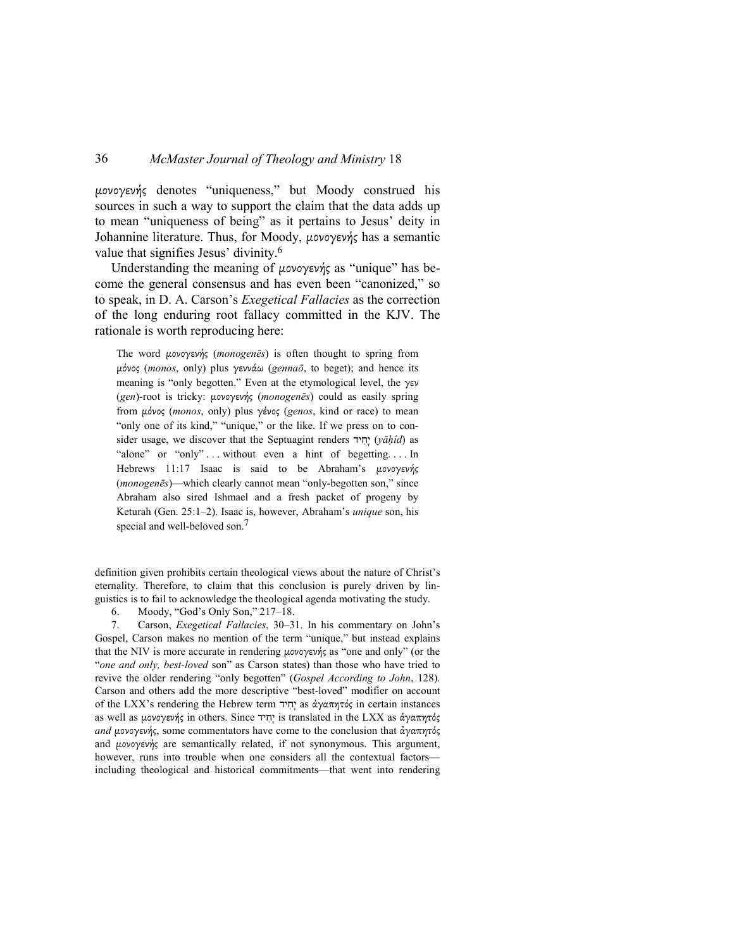µονογενής denotes "uniqueness," but Moody construed his sources in such a way to support the claim that the data adds up to mean "uniqueness of being" as it pertains to Jesus' deity in Johannine literature. Thus, for Moody, µονογενής has a semantic value that signifies Jesus' divinity.<sup>6</sup>

Understanding the meaning of μονογενής as "unique" has become the general consensus and has even been "canonized," so to speak, in D. A. Carson's *Exegetical Fallacies* as the correction of the long enduring root fallacy committed in the KJV. The rationale is worth reproducing here:

The word µονογενής (*monogenēs*) is often thought to spring from µόνος (*monos*, only) plus γεννάω (*gennaō*, to beget); and hence its meaning is "only begotten." Even at the etymological level, the γεν (*gen*)-root is tricky: µονογενής (*monogenēs*) could as easily spring from µόνος (*monos*, only) plus γένος (*genos*, kind or race) to mean "only one of its kind," "unique," or the like. If we press on to consider usage, we discover that the Septuagint renders יחיד (vāhîd) as "alone" or "only" ... without even a hint of begetting.... In Hebrews 11:17 Isaac is said to be Abraham's µονογενής (*monogenēs*)—which clearly cannot mean "only-begotten son," since Abraham also sired Ishmael and a fresh packet of progeny by Keturah (Gen. 25:1–2). Isaac is, however, Abraham's *unique* son, his special and well-beloved son.<sup>7</sup>

definition given prohibits certain theological views about the nature of Christ's eternality. Therefore, to claim that this conclusion is purely driven by linguistics is to fail to acknowledge the theological agenda motivating the study.

6. Moody, "God's Only Son," 217–18.

7. Carson, *Exegetical Fallacies*, 30–31. In his commentary on John's Gospel, Carson makes no mention of the term "unique," but instead explains that the NIV is more accurate in rendering µονογενής as "one and only" (or the "*one and only, best-loved* son" as Carson states) than those who have tried to revive the older rendering "only begotten" (*Gospel According to John*, 128). Carson and others add the more descriptive "best-loved" modifier on account of the LXX's rendering the Hebrew term יָחִיד as άγαπητός in certain instances as well as μονογενής in others. Since *της is translated in the LXX as άγαπητός and* µονογενής, some commentators have come to the conclusion that ἀγαπητός and µονογενής are semantically related, if not synonymous. This argument, however, runs into trouble when one considers all the contextual factors including theological and historical commitments—that went into rendering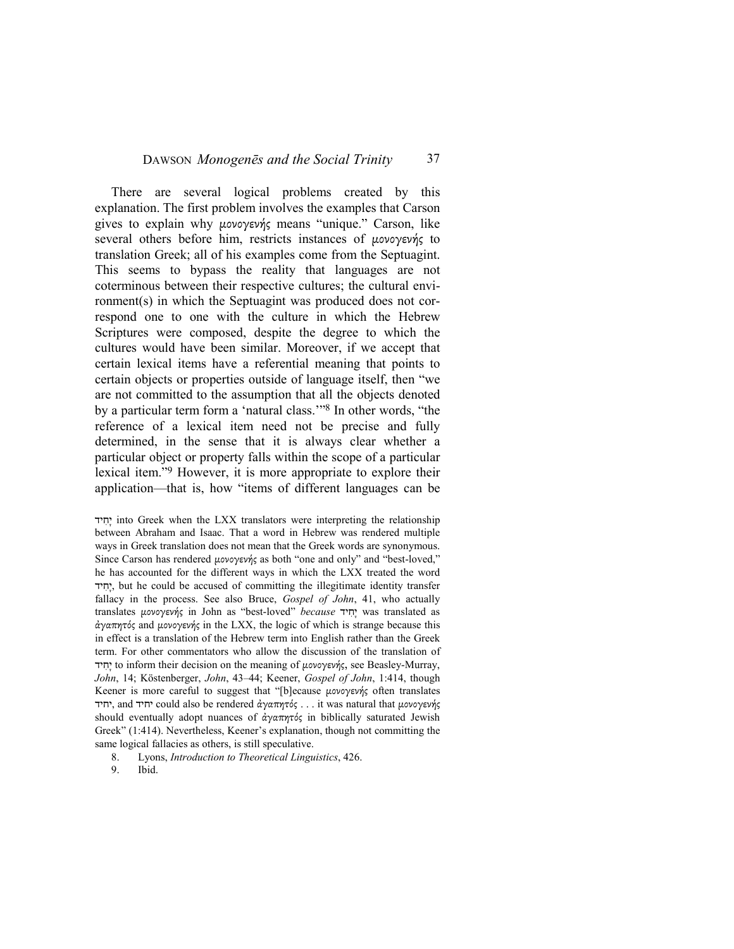#### DAWSON *Monogenēs and the Social Trinity* 37

There are several logical problems created by this explanation. The first problem involves the examples that Carson gives to explain why µονογενής means "unique." Carson, like several others before him, restricts instances of µονογενής to translation Greek; all of his examples come from the Septuagint. This seems to bypass the reality that languages are not coterminous between their respective cultures; the cultural environment(s) in which the Septuagint was produced does not correspond one to one with the culture in which the Hebrew Scriptures were composed, despite the degree to which the cultures would have been similar. Moreover, if we accept that certain lexical items have a referential meaning that points to certain objects or properties outside of language itself, then "we are not committed to the assumption that all the objects denoted by a particular term form a 'natural class.'"8 In other words, "the reference of a lexical item need not be precise and fully determined, in the sense that it is always clear whether a particular object or property falls within the scope of a particular lexical item."9 However, it is more appropriate to explore their application—that is, how "items of different languages can be

יְחִיד into Greek when the LXX translators were interpreting the relationship between Abraham and Isaac. That a word in Hebrew was rendered multiple ways in Greek translation does not mean that the Greek words are synonymous. Since Carson has rendered µονογενής as both "one and only" and "best-loved," he has accounted for the different ways in which the LXX treated the word יְחִיד, but he could be accused of committing the illegitimate identity transfer fallacy in the process. See also Bruce, *Gospel of John*, 41, who actually translates µονογενής in John as "best-loved" *because* יד ִח ָי was translated as ἀγαπητός and µονογενής in the LXX, the logic of which is strange because this in effect is a translation of the Hebrew term into English rather than the Greek term. For other commentators who allow the discussion of the translation of יד ִח ָי to inform their decision on the meaning of µονογενής, see Beasley-Murray, *John*, 14; Köstenberger, *John*, 43–44; Keener, *Gospel of John*, 1:414, though Keener is more careful to suggest that "[b]ecause µονογενής often translates יחיד, and יחיד could also be rendered ἀγαπητός . . . it was natural that μονογενής should eventually adopt nuances of ἀγαπητός in biblically saturated Jewish Greek" (1:414). Nevertheless, Keener's explanation, though not committing the same logical fallacies as others, is still speculative.

- 8. Lyons, *Introduction to Theoretical Linguistics*, 426.
- 9. Ibid.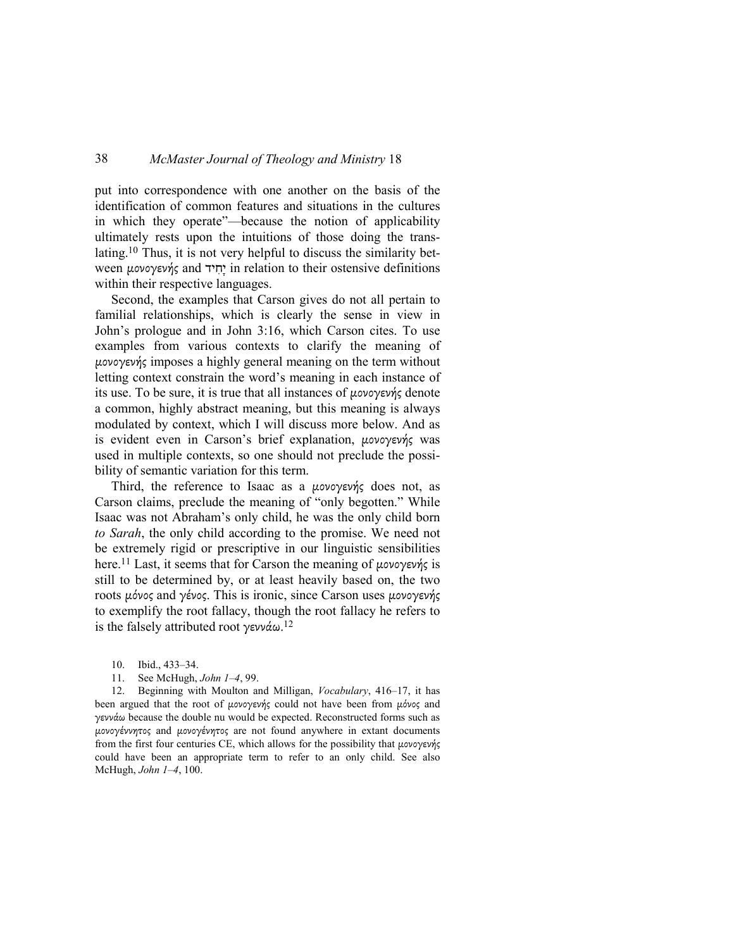put into correspondence with one another on the basis of the identification of common features and situations in the cultures in which they operate"—because the notion of applicability ultimately rests upon the intuitions of those doing the translating.10 Thus, it is not very helpful to discuss the similarity between μονογενής and יְחִיד in relation to their ostensive definitions within their respective languages.

Second, the examples that Carson gives do not all pertain to familial relationships, which is clearly the sense in view in John's prologue and in John 3:16, which Carson cites. To use examples from various contexts to clarify the meaning of µονογενής imposes a highly general meaning on the term without letting context constrain the word's meaning in each instance of its use. To be sure, it is true that all instances of µονογενής denote a common, highly abstract meaning, but this meaning is always modulated by context, which I will discuss more below. And as is evident even in Carson's brief explanation, µονογενής was used in multiple contexts, so one should not preclude the possibility of semantic variation for this term.

Third, the reference to Isaac as a µονογενής does not, as Carson claims, preclude the meaning of "only begotten." While Isaac was not Abraham's only child, he was the only child born *to Sarah*, the only child according to the promise. We need not be extremely rigid or prescriptive in our linguistic sensibilities here.11 Last, it seems that for Carson the meaning of µονογενής is still to be determined by, or at least heavily based on, the two roots µόνος and γένος. This is ironic, since Carson uses µονογενής to exemplify the root fallacy, though the root fallacy he refers to is the falsely attributed root γεννάω.<sup>12</sup>

- 10. Ibid., 433–34.
- 11. See McHugh, *John 1–4*, 99.

12. Beginning with Moulton and Milligan, *Vocabulary*, 416–17, it has been argued that the root of μονογενής could not have been from μόνος and γεννάω because the double nu would be expected. Reconstructed forms such as µονογέννητος and µονογένητος are not found anywhere in extant documents from the first four centuries CE, which allows for the possibility that µονογενής could have been an appropriate term to refer to an only child. See also McHugh, *John 1–4*, 100.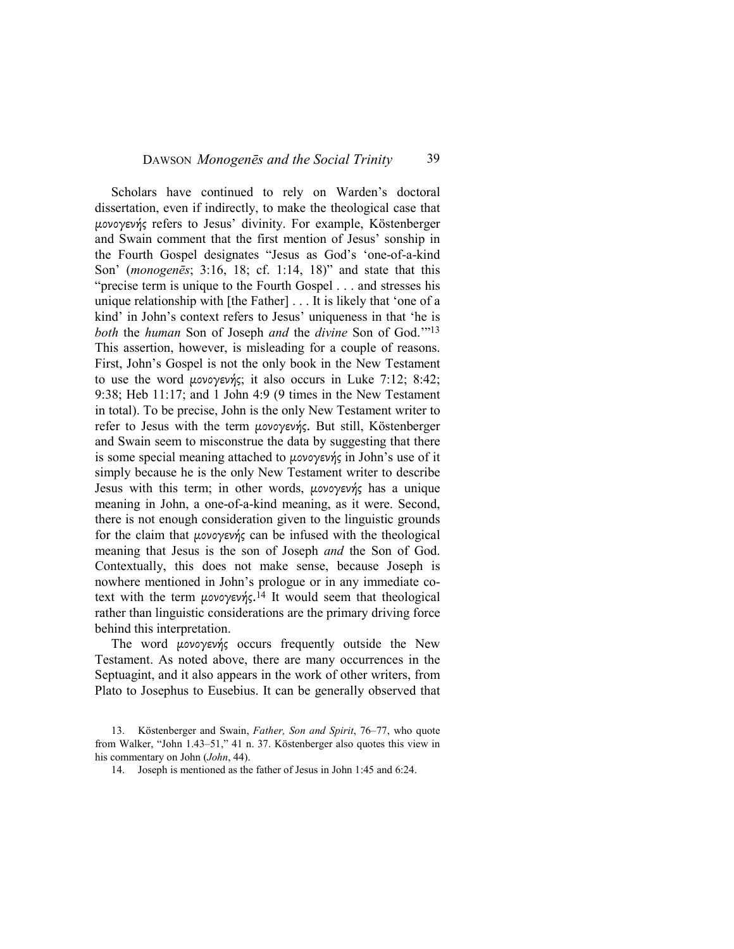Scholars have continued to rely on Warden's doctoral dissertation, even if indirectly, to make the theological case that µονογενής refers to Jesus' divinity. For example, Köstenberger and Swain comment that the first mention of Jesus' sonship in the Fourth Gospel designates "Jesus as God's 'one-of-a-kind Son' (*monogenēs*; 3:16, 18; cf. 1:14, 18)" and state that this "precise term is unique to the Fourth Gospel . . . and stresses his unique relationship with [the Father] . . . It is likely that 'one of a kind' in John's context refers to Jesus' uniqueness in that 'he is *both* the *human* Son of Joseph *and* the *divine* Son of God.'"<sup>13</sup> This assertion, however, is misleading for a couple of reasons. First, John's Gospel is not the only book in the New Testament to use the word µονογενής; it also occurs in Luke 7:12; 8:42; 9:38; Heb 11:17; and 1 John 4:9 (9 times in the New Testament in total). To be precise, John is the only New Testament writer to refer to Jesus with the term µονογενής. But still, Köstenberger and Swain seem to misconstrue the data by suggesting that there is some special meaning attached to µονογενής in John's use of it simply because he is the only New Testament writer to describe Jesus with this term; in other words, µονογενής has a unique meaning in John, a one-of-a-kind meaning, as it were. Second, there is not enough consideration given to the linguistic grounds for the claim that µονογενής can be infused with the theological meaning that Jesus is the son of Joseph *and* the Son of God. Contextually, this does not make sense, because Joseph is nowhere mentioned in John's prologue or in any immediate cotext with the term μονογενής.<sup>14</sup> It would seem that theological rather than linguistic considerations are the primary driving force behind this interpretation.

The word µονογενής occurs frequently outside the New Testament. As noted above, there are many occurrences in the Septuagint, and it also appears in the work of other writers, from Plato to Josephus to Eusebius. It can be generally observed that

<sup>13.</sup> Köstenberger and Swain, *Father, Son and Spirit*, 76–77, who quote from Walker, "John 1.43–51," 41 n. 37. Köstenberger also quotes this view in his commentary on John (*John*, 44).

<sup>14.</sup> Joseph is mentioned as the father of Jesus in John 1:45 and 6:24.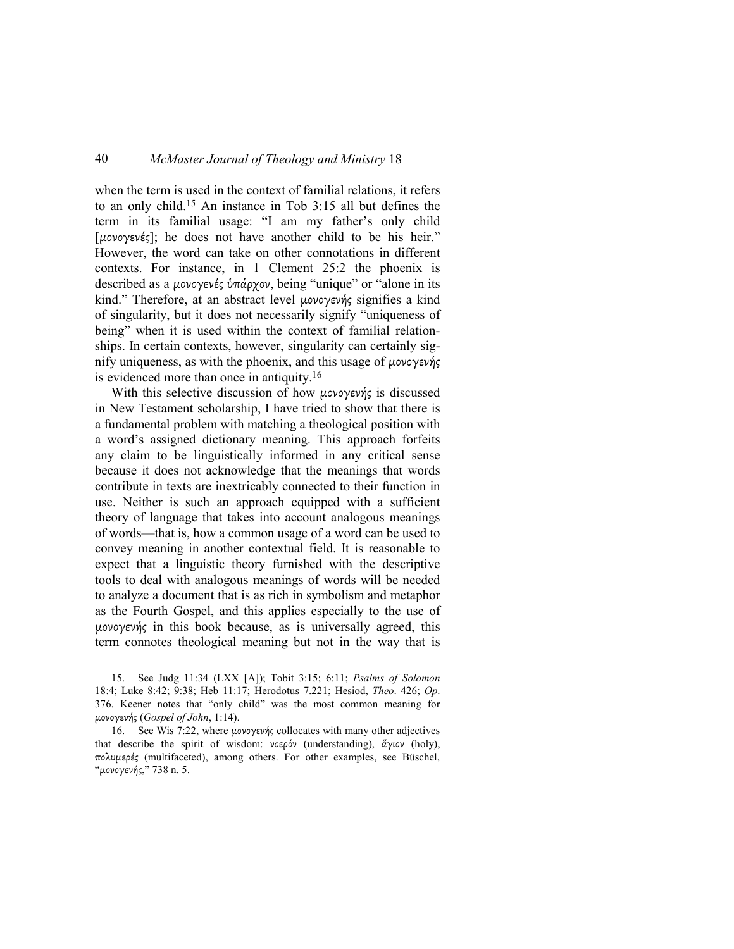when the term is used in the context of familial relations, it refers to an only child.15 An instance in Tob 3:15 all but defines the term in its familial usage: "I am my father's only child [µονογενές]; he does not have another child to be his heir." However, the word can take on other connotations in different contexts. For instance, in 1 Clement 25:2 the phoenix is described as a μονογενές ὑπάρχον, being "unique" or "alone in its kind." Therefore, at an abstract level µονογενής signifies a kind of singularity, but it does not necessarily signify "uniqueness of being" when it is used within the context of familial relationships. In certain contexts, however, singularity can certainly signify uniqueness, as with the phoenix, and this usage of µονογενής is evidenced more than once in antiquity.<sup>16</sup>

With this selective discussion of how µονογενής is discussed in New Testament scholarship, I have tried to show that there is a fundamental problem with matching a theological position with a word's assigned dictionary meaning. This approach forfeits any claim to be linguistically informed in any critical sense because it does not acknowledge that the meanings that words contribute in texts are inextricably connected to their function in use. Neither is such an approach equipped with a sufficient theory of language that takes into account analogous meanings of words—that is, how a common usage of a word can be used to convey meaning in another contextual field. It is reasonable to expect that a linguistic theory furnished with the descriptive tools to deal with analogous meanings of words will be needed to analyze a document that is as rich in symbolism and metaphor as the Fourth Gospel, and this applies especially to the use of µονογενής in this book because, as is universally agreed, this term connotes theological meaning but not in the way that is

15. See Judg 11:34 (LXX [A]); Tobit 3:15; 6:11; *Psalms of Solomon*  18:4; Luke 8:42; 9:38; Heb 11:17; Herodotus 7.221; Hesiod, *Theo*. 426; *Op*. 376. Keener notes that "only child" was the most common meaning for µονογενής (*Gospel of John*, 1:14).

16. See Wis 7:22, where µονογενής collocates with many other adjectives that describe the spirit of wisdom: νοερόν (understanding), ἅγιον (holy), πολυµερές (multifaceted), among others. For other examples, see Büschel, "µονογενής," 738 n. 5.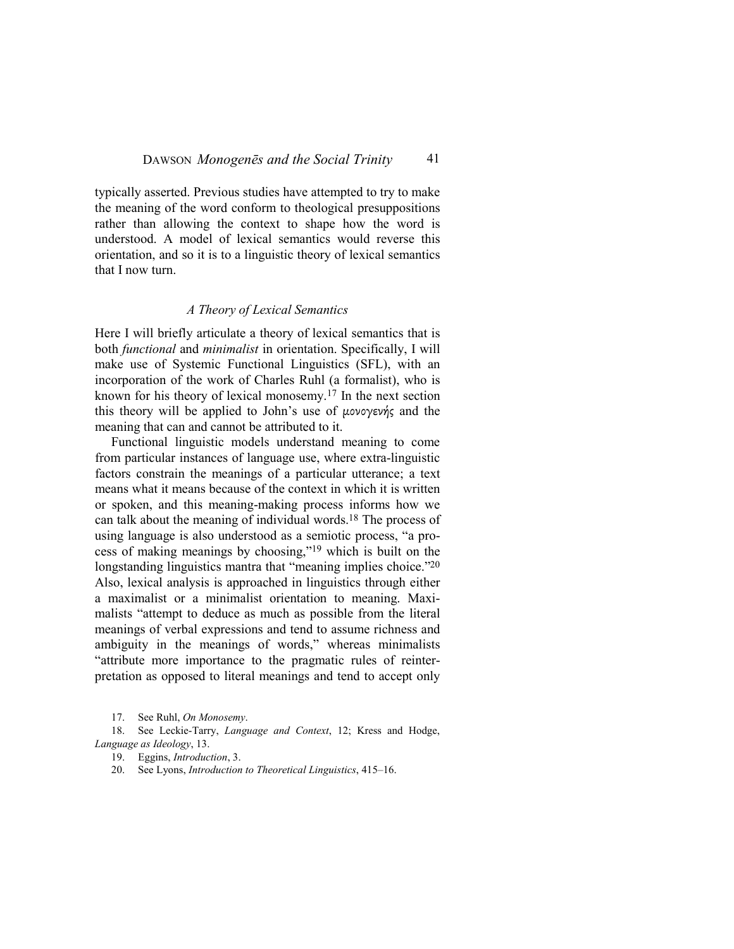typically asserted. Previous studies have attempted to try to make the meaning of the word conform to theological presuppositions rather than allowing the context to shape how the word is understood. A model of lexical semantics would reverse this orientation, and so it is to a linguistic theory of lexical semantics that I now turn.

#### *A Theory of Lexical Semantics*

Here I will briefly articulate a theory of lexical semantics that is both *functional* and *minimalist* in orientation. Specifically, I will make use of Systemic Functional Linguistics (SFL), with an incorporation of the work of Charles Ruhl (a formalist), who is known for his theory of lexical monosemy.17 In the next section this theory will be applied to John's use of µονογενής and the meaning that can and cannot be attributed to it.

Functional linguistic models understand meaning to come from particular instances of language use, where extra-linguistic factors constrain the meanings of a particular utterance; a text means what it means because of the context in which it is written or spoken, and this meaning-making process informs how we can talk about the meaning of individual words.18 The process of using language is also understood as a semiotic process, "a process of making meanings by choosing,"19 which is built on the longstanding linguistics mantra that "meaning implies choice."<sup>20</sup> Also, lexical analysis is approached in linguistics through either a maximalist or a minimalist orientation to meaning. Maximalists "attempt to deduce as much as possible from the literal meanings of verbal expressions and tend to assume richness and ambiguity in the meanings of words," whereas minimalists "attribute more importance to the pragmatic rules of reinterpretation as opposed to literal meanings and tend to accept only

18. See Leckie-Tarry, *Language and Context*, 12; Kress and Hodge, *Language as Ideology*, 13.

19. Eggins, *Introduction*, 3.

20. See Lyons, *Introduction to Theoretical Linguistics*, 415–16.

<sup>17.</sup> See Ruhl, *On Monosemy*.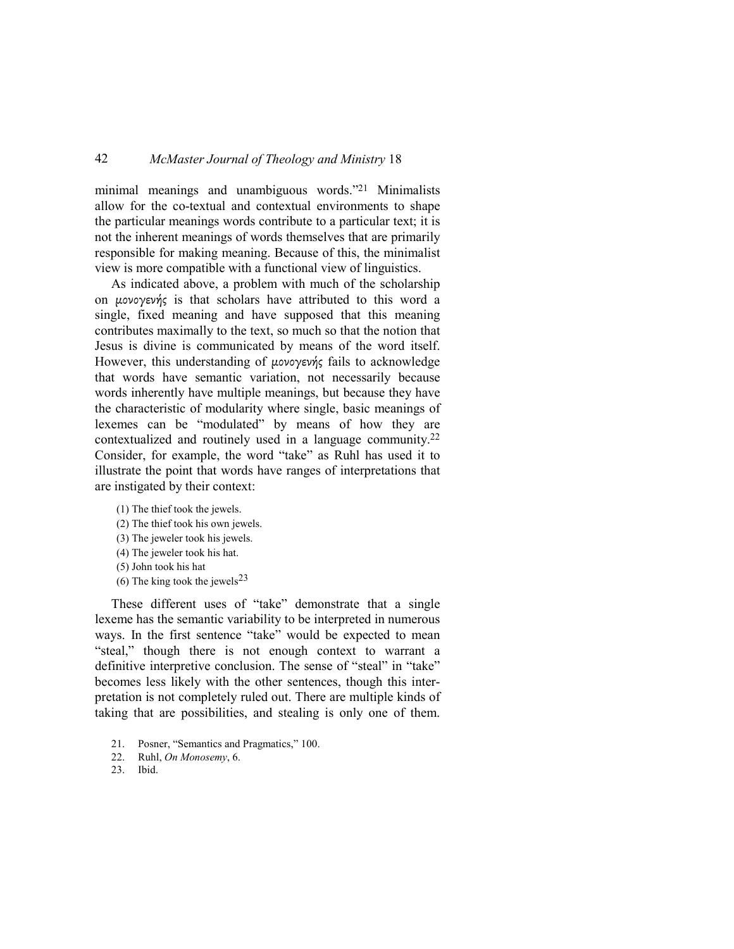minimal meanings and unambiguous words."21 Minimalists allow for the co-textual and contextual environments to shape the particular meanings words contribute to a particular text; it is not the inherent meanings of words themselves that are primarily responsible for making meaning. Because of this, the minimalist view is more compatible with a functional view of linguistics.

As indicated above, a problem with much of the scholarship on µονογενής is that scholars have attributed to this word a single, fixed meaning and have supposed that this meaning contributes maximally to the text, so much so that the notion that Jesus is divine is communicated by means of the word itself. However, this understanding of µονογενής fails to acknowledge that words have semantic variation, not necessarily because words inherently have multiple meanings, but because they have the characteristic of modularity where single, basic meanings of lexemes can be "modulated" by means of how they are contextualized and routinely used in a language community.<sup>22</sup> Consider, for example, the word "take" as Ruhl has used it to illustrate the point that words have ranges of interpretations that are instigated by their context:

(1) The thief took the jewels. (2) The thief took his own jewels. (3) The jeweler took his jewels. (4) The jeweler took his hat. (5) John took his hat (6) The king took the jewels<sup>23</sup>

These different uses of "take" demonstrate that a single lexeme has the semantic variability to be interpreted in numerous ways. In the first sentence "take" would be expected to mean "steal," though there is not enough context to warrant a definitive interpretive conclusion. The sense of "steal" in "take" becomes less likely with the other sentences, though this interpretation is not completely ruled out. There are multiple kinds of taking that are possibilities, and stealing is only one of them.

- 21. Posner, "Semantics and Pragmatics," 100.
- 22. Ruhl, *On Monosemy*, 6.
- 23. Ibid.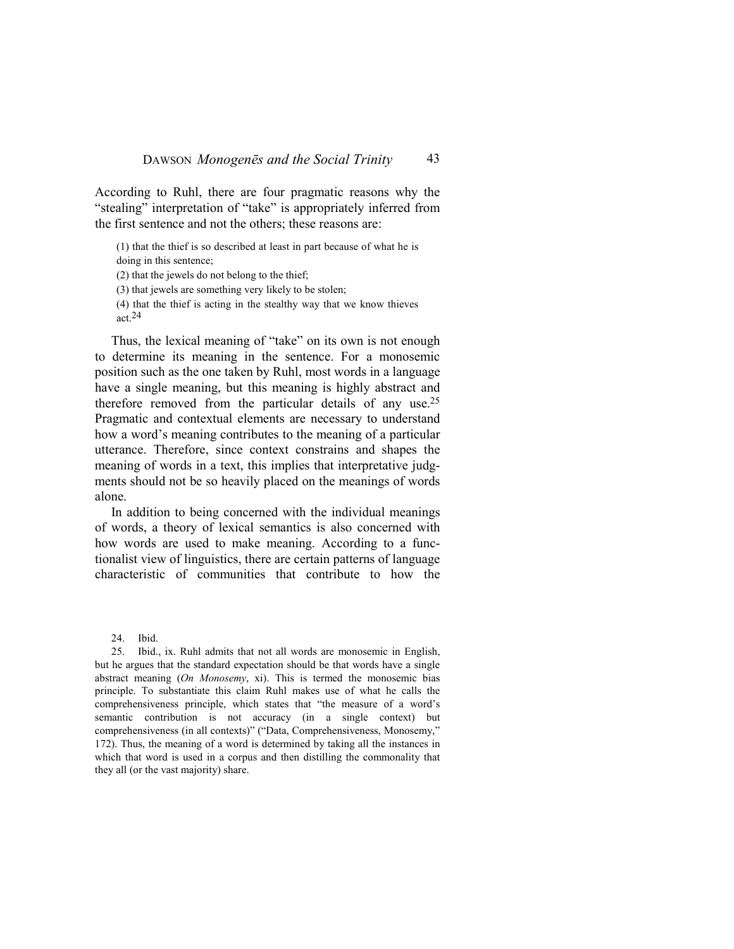According to Ruhl, there are four pragmatic reasons why the "stealing" interpretation of "take" is appropriately inferred from the first sentence and not the others; these reasons are:

(1) that the thief is so described at least in part because of what he is doing in this sentence;

(2) that the jewels do not belong to the thief;

(3) that jewels are something very likely to be stolen;

(4) that the thief is acting in the stealthy way that we know thieves act.24

Thus, the lexical meaning of "take" on its own is not enough to determine its meaning in the sentence. For a monosemic position such as the one taken by Ruhl, most words in a language have a single meaning, but this meaning is highly abstract and therefore removed from the particular details of any use.<sup>25</sup> Pragmatic and contextual elements are necessary to understand how a word's meaning contributes to the meaning of a particular utterance. Therefore, since context constrains and shapes the meaning of words in a text, this implies that interpretative judgments should not be so heavily placed on the meanings of words alone.

In addition to being concerned with the individual meanings of words, a theory of lexical semantics is also concerned with how words are used to make meaning. According to a functionalist view of linguistics, there are certain patterns of language characteristic of communities that contribute to how the

<sup>24.</sup> Ibid.

<sup>25.</sup> Ibid., ix. Ruhl admits that not all words are monosemic in English, but he argues that the standard expectation should be that words have a single abstract meaning (*On Monosemy*, xi). This is termed the monosemic bias principle. To substantiate this claim Ruhl makes use of what he calls the comprehensiveness principle, which states that "the measure of a word's semantic contribution is not accuracy (in a single context) but comprehensiveness (in all contexts)" ("Data, Comprehensiveness, Monosemy," 172). Thus, the meaning of a word is determined by taking all the instances in which that word is used in a corpus and then distilling the commonality that they all (or the vast majority) share.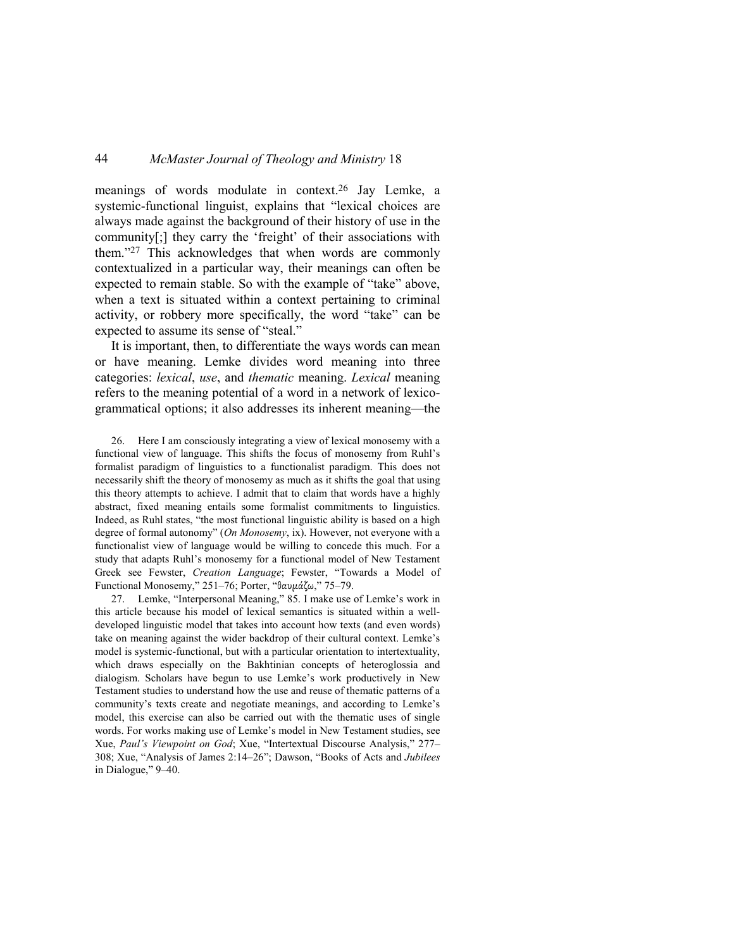meanings of words modulate in context.26 Jay Lemke, a systemic-functional linguist, explains that "lexical choices are always made against the background of their history of use in the community[;] they carry the 'freight' of their associations with them."27 This acknowledges that when words are commonly contextualized in a particular way, their meanings can often be expected to remain stable. So with the example of "take" above, when a text is situated within a context pertaining to criminal activity, or robbery more specifically, the word "take" can be expected to assume its sense of "steal."

It is important, then, to differentiate the ways words can mean or have meaning. Lemke divides word meaning into three categories: *lexical*, *use*, and *thematic* meaning. *Lexical* meaning refers to the meaning potential of a word in a network of lexicogrammatical options; it also addresses its inherent meaning—the

26. Here I am consciously integrating a view of lexical monosemy with a functional view of language. This shifts the focus of monosemy from Ruhl's formalist paradigm of linguistics to a functionalist paradigm. This does not necessarily shift the theory of monosemy as much as it shifts the goal that using this theory attempts to achieve. I admit that to claim that words have a highly abstract, fixed meaning entails some formalist commitments to linguistics. Indeed, as Ruhl states, "the most functional linguistic ability is based on a high degree of formal autonomy" (*On Monosemy*, ix). However, not everyone with a functionalist view of language would be willing to concede this much. For a study that adapts Ruhl's monosemy for a functional model of New Testament Greek see Fewster, *Creation Language*; Fewster, "Towards a Model of Functional Monosemy," 251–76; Porter, "θαυµάζω," 75–79.

27. Lemke, "Interpersonal Meaning," 85. I make use of Lemke's work in this article because his model of lexical semantics is situated within a welldeveloped linguistic model that takes into account how texts (and even words) take on meaning against the wider backdrop of their cultural context. Lemke's model is systemic-functional, but with a particular orientation to intertextuality, which draws especially on the Bakhtinian concepts of heteroglossia and dialogism. Scholars have begun to use Lemke's work productively in New Testament studies to understand how the use and reuse of thematic patterns of a community's texts create and negotiate meanings, and according to Lemke's model, this exercise can also be carried out with the thematic uses of single words. For works making use of Lemke's model in New Testament studies, see Xue, *Paul's Viewpoint on God*; Xue, "Intertextual Discourse Analysis," 277– 308; Xue, "Analysis of James 2:14–26"; Dawson, "Books of Acts and *Jubilees*  in Dialogue," 9–40.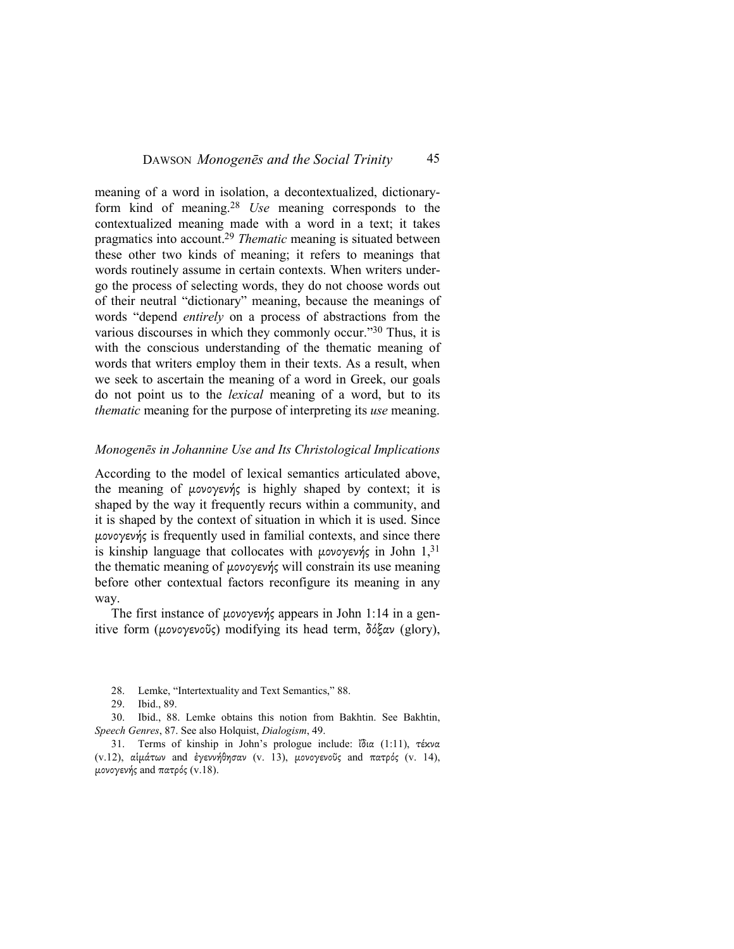meaning of a word in isolation, a decontextualized, dictionaryform kind of meaning.<sup>28</sup> *Use* meaning corresponds to the contextualized meaning made with a word in a text; it takes pragmatics into account.<sup>29</sup> *Thematic* meaning is situated between these other two kinds of meaning; it refers to meanings that words routinely assume in certain contexts. When writers undergo the process of selecting words, they do not choose words out of their neutral "dictionary" meaning, because the meanings of words "depend *entirely* on a process of abstractions from the various discourses in which they commonly occur."30 Thus, it is with the conscious understanding of the thematic meaning of words that writers employ them in their texts. As a result, when we seek to ascertain the meaning of a word in Greek, our goals do not point us to the *lexical* meaning of a word, but to its *thematic* meaning for the purpose of interpreting its *use* meaning.

#### *Monogenēs in Johannine Use and Its Christological Implications*

According to the model of lexical semantics articulated above, the meaning of µονογενής is highly shaped by context; it is shaped by the way it frequently recurs within a community, and it is shaped by the context of situation in which it is used. Since µονογενής is frequently used in familial contexts, and since there is kinship language that collocates with μονογενής in John  $1,31$ the thematic meaning of µονογενής will constrain its use meaning before other contextual factors reconfigure its meaning in any way.

The first instance of µονογενής appears in John 1:14 in a genitive form (µονογενοῦς) modifying its head term, δόξαν (glory),

30. Ibid., 88. Lemke obtains this notion from Bakhtin. See Bakhtin, *Speech Genres*, 87. See also Holquist, *Dialogism*, 49.

31. Terms of kinship in John's prologue include: ἴδια (1:11), τέκνα (v.12), αἱµάτων and ἐγεννήθησαν (v. 13), µονογενοῦς and πατρός (v. 14), µονογενής and πατρός (v.18).

<sup>28.</sup> Lemke, "Intertextuality and Text Semantics," 88.

<sup>29.</sup> Ibid., 89.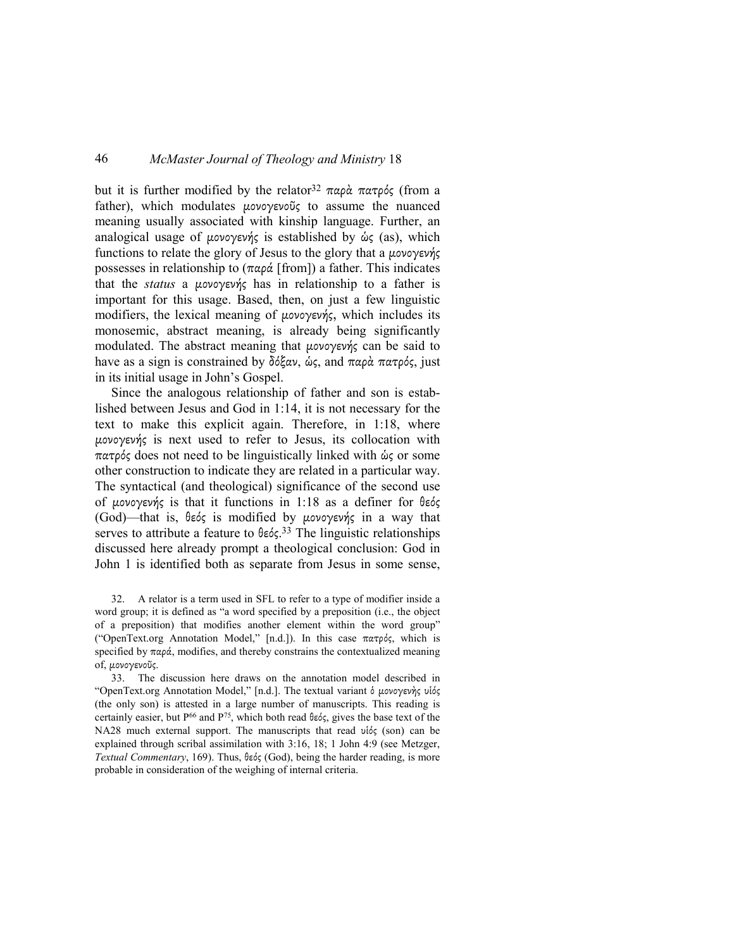but it is further modified by the relator<sup>32</sup> παρά πατρός (from a father), which modulates µονογενοῦς to assume the nuanced meaning usually associated with kinship language. Further, an analogical usage of µονογενής is established by ὡς (as), which functions to relate the glory of Jesus to the glory that a µονογενής possesses in relationship to  $(\pi \alpha \rho \alpha)$  [from]) a father. This indicates that the *status* a µονογενής has in relationship to a father is important for this usage. Based, then, on just a few linguistic modifiers, the lexical meaning of µονογενής, which includes its monosemic, abstract meaning, is already being significantly modulated. The abstract meaning that µονογενής can be said to have as a sign is constrained by δόξαν, ὡς, and παρὰ πατρός, just in its initial usage in John's Gospel.

Since the analogous relationship of father and son is established between Jesus and God in 1:14, it is not necessary for the text to make this explicit again. Therefore, in 1:18, where µονογενής is next used to refer to Jesus, its collocation with πατρός does not need to be linguistically linked with ὡς or some other construction to indicate they are related in a particular way. The syntactical (and theological) significance of the second use of µονογενής is that it functions in 1:18 as a definer for θεός (God)—that is, θεός is modified by µονογενής in a way that serves to attribute a feature to θεός. <sup>33</sup> The linguistic relationships discussed here already prompt a theological conclusion: God in John 1 is identified both as separate from Jesus in some sense,

32. A relator is a term used in SFL to refer to a type of modifier inside a word group; it is defined as "a word specified by a preposition (i.e., the object of a preposition) that modifies another element within the word group" ("OpenText.org Annotation Model," [n.d.]). In this case πατρός, which is specified by  $\pi \alpha \rho \dot{\alpha}$ , modifies, and thereby constrains the contextualized meaning of, µονογενοῦς.

33. The discussion here draws on the annotation model described in "OpenText.org Annotation Model," [n.d.]. The textual variant ὁ µονογενὴς υἱός (the only son) is attested in a large number of manuscripts. This reading is certainly easier, but  $P^{66}$  and  $P^{75}$ , which both read θεός, gives the base text of the NA28 much external support. The manuscripts that read υἱός (son) can be explained through scribal assimilation with 3:16, 18; 1 John 4:9 (see Metzger, *Textual Commentary*, 169). Thus, θεός (God), being the harder reading, is more probable in consideration of the weighing of internal criteria.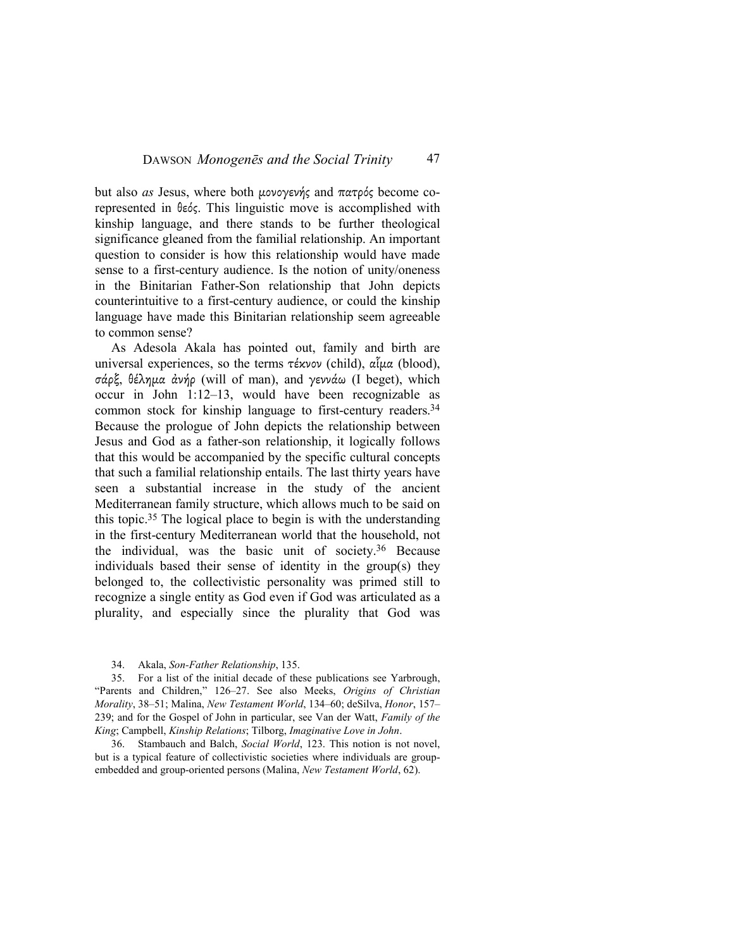but also *as* Jesus, where both µονογενής and πατρός become corepresented in θεός. This linguistic move is accomplished with kinship language, and there stands to be further theological significance gleaned from the familial relationship. An important question to consider is how this relationship would have made sense to a first-century audience. Is the notion of unity/oneness in the Binitarian Father-Son relationship that John depicts counterintuitive to a first-century audience, or could the kinship language have made this Binitarian relationship seem agreeable to common sense?

As Adesola Akala has pointed out, family and birth are universal experiences, so the terms τέκνον (child), αἷµα (blood), σάρξ, θέληµα ἀνήρ (will of man), and γεννάω (I beget), which occur in John 1:12–13, would have been recognizable as common stock for kinship language to first-century readers.<sup>34</sup> Because the prologue of John depicts the relationship between Jesus and God as a father-son relationship, it logically follows that this would be accompanied by the specific cultural concepts that such a familial relationship entails. The last thirty years have seen a substantial increase in the study of the ancient Mediterranean family structure, which allows much to be said on this topic.35 The logical place to begin is with the understanding in the first-century Mediterranean world that the household, not the individual, was the basic unit of society.36 Because individuals based their sense of identity in the group(s) they belonged to, the collectivistic personality was primed still to recognize a single entity as God even if God was articulated as a plurality, and especially since the plurality that God was

34. Akala, *Son-Father Relationship*, 135.

35. For a list of the initial decade of these publications see Yarbrough, "Parents and Children," 126–27. See also Meeks, *Origins of Christian Morality*, 38–51; Malina, *New Testament World*, 134–60; deSilva, *Honor*, 157– 239; and for the Gospel of John in particular, see Van der Watt, *Family of the King*; Campbell, *Kinship Relations*; Tilborg, *Imaginative Love in John*.

36. Stambauch and Balch, *Social World*, 123. This notion is not novel, but is a typical feature of collectivistic societies where individuals are groupembedded and group-oriented persons (Malina, *New Testament World*, 62).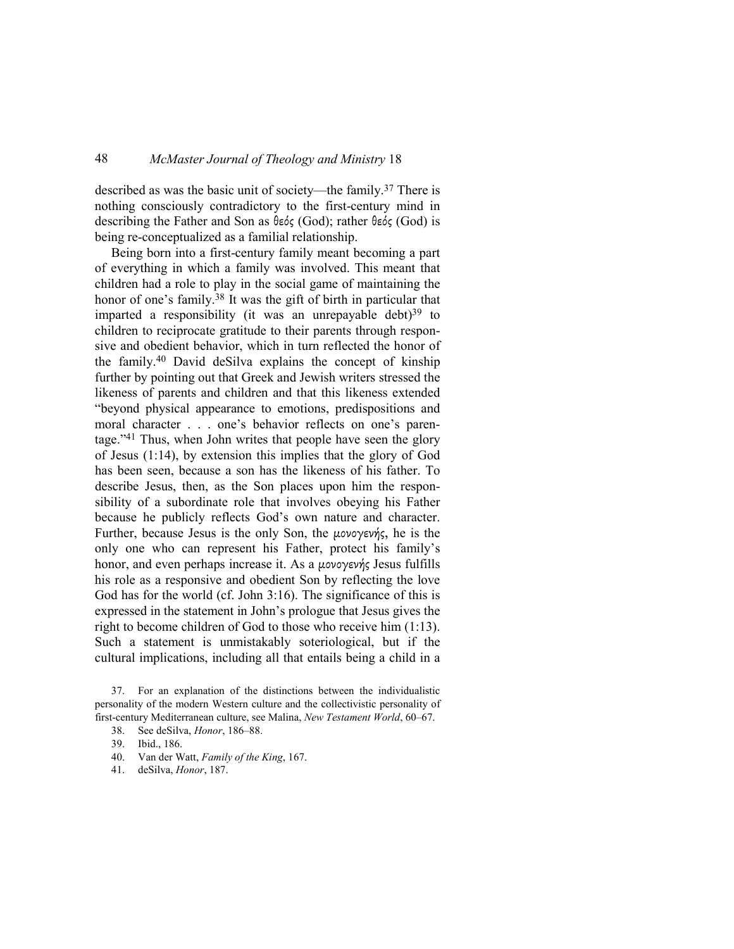described as was the basic unit of society—the family.37 There is nothing consciously contradictory to the first-century mind in describing the Father and Son as θεός (God); rather θεός (God) is being re-conceptualized as a familial relationship.

Being born into a first-century family meant becoming a part of everything in which a family was involved. This meant that children had a role to play in the social game of maintaining the honor of one's family.<sup>38</sup> It was the gift of birth in particular that imparted a responsibility (it was an unrepayable debt) $39$  to children to reciprocate gratitude to their parents through responsive and obedient behavior, which in turn reflected the honor of the family.40 David deSilva explains the concept of kinship further by pointing out that Greek and Jewish writers stressed the likeness of parents and children and that this likeness extended "beyond physical appearance to emotions, predispositions and moral character . . . one's behavior reflects on one's parentage."41 Thus, when John writes that people have seen the glory of Jesus (1:14), by extension this implies that the glory of God has been seen, because a son has the likeness of his father. To describe Jesus, then, as the Son places upon him the responsibility of a subordinate role that involves obeying his Father because he publicly reflects God's own nature and character. Further, because Jesus is the only Son, the µονογενής, he is the only one who can represent his Father, protect his family's honor, and even perhaps increase it. As a µονογενής Jesus fulfills his role as a responsive and obedient Son by reflecting the love God has for the world (cf. John 3:16). The significance of this is expressed in the statement in John's prologue that Jesus gives the right to become children of God to those who receive him (1:13). Such a statement is unmistakably soteriological, but if the cultural implications, including all that entails being a child in a

37. For an explanation of the distinctions between the individualistic personality of the modern Western culture and the collectivistic personality of first-century Mediterranean culture, see Malina, *New Testament World*, 60–67.

<sup>38.</sup> See deSilva, *Honor*, 186–88.

<sup>39.</sup> Ibid., 186.

<sup>40.</sup> Van der Watt, *Family of the King*, 167.

<sup>41.</sup> deSilva, *Honor*, 187.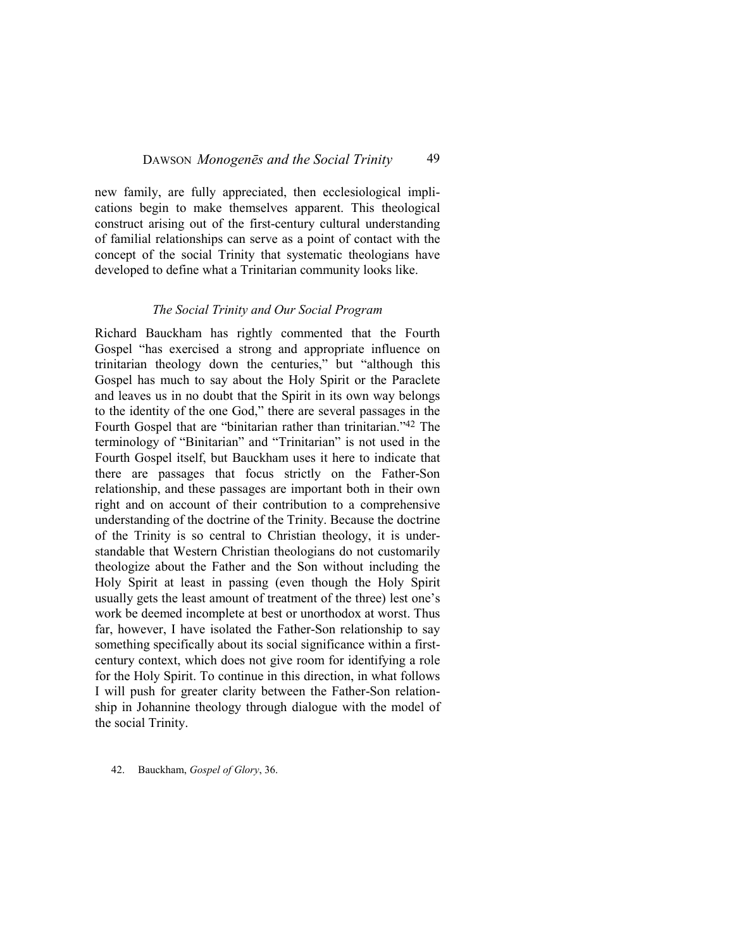new family, are fully appreciated, then ecclesiological implications begin to make themselves apparent. This theological construct arising out of the first-century cultural understanding of familial relationships can serve as a point of contact with the concept of the social Trinity that systematic theologians have developed to define what a Trinitarian community looks like.

#### *The Social Trinity and Our Social Program*

Richard Bauckham has rightly commented that the Fourth Gospel "has exercised a strong and appropriate influence on trinitarian theology down the centuries," but "although this Gospel has much to say about the Holy Spirit or the Paraclete and leaves us in no doubt that the Spirit in its own way belongs to the identity of the one God," there are several passages in the Fourth Gospel that are "binitarian rather than trinitarian."42 The terminology of "Binitarian" and "Trinitarian" is not used in the Fourth Gospel itself, but Bauckham uses it here to indicate that there are passages that focus strictly on the Father-Son relationship, and these passages are important both in their own right and on account of their contribution to a comprehensive understanding of the doctrine of the Trinity. Because the doctrine of the Trinity is so central to Christian theology, it is understandable that Western Christian theologians do not customarily theologize about the Father and the Son without including the Holy Spirit at least in passing (even though the Holy Spirit usually gets the least amount of treatment of the three) lest one's work be deemed incomplete at best or unorthodox at worst. Thus far, however, I have isolated the Father-Son relationship to say something specifically about its social significance within a firstcentury context, which does not give room for identifying a role for the Holy Spirit. To continue in this direction, in what follows I will push for greater clarity between the Father-Son relationship in Johannine theology through dialogue with the model of the social Trinity.

42. Bauckham, *Gospel of Glory*, 36.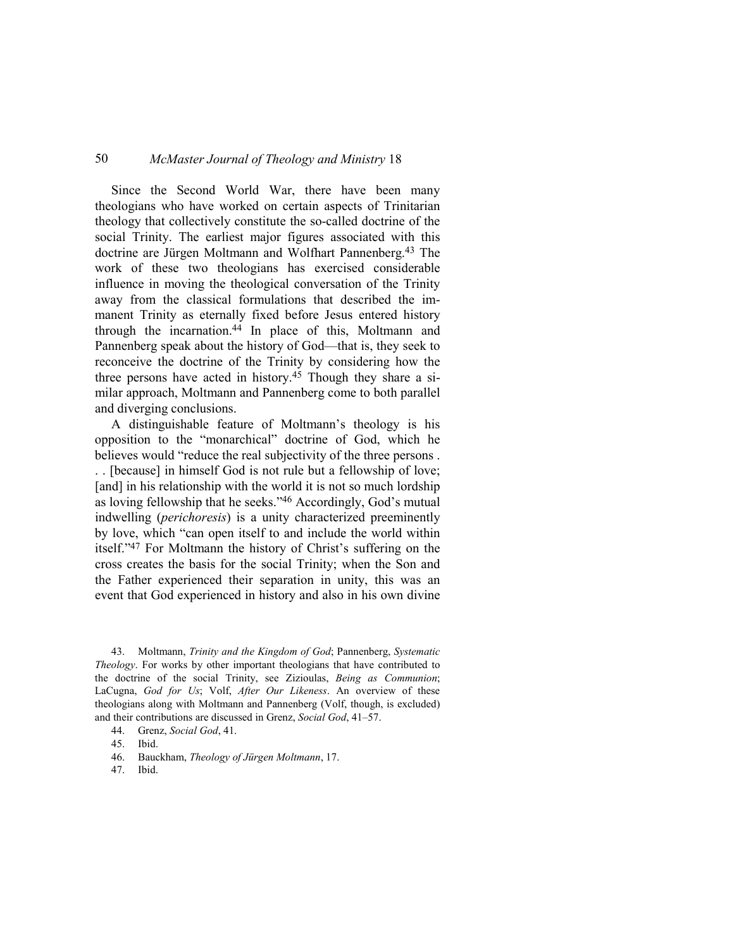Since the Second World War, there have been many theologians who have worked on certain aspects of Trinitarian theology that collectively constitute the so-called doctrine of the social Trinity. The earliest major figures associated with this doctrine are Jürgen Moltmann and Wolfhart Pannenberg.43 The work of these two theologians has exercised considerable influence in moving the theological conversation of the Trinity away from the classical formulations that described the immanent Trinity as eternally fixed before Jesus entered history through the incarnation.44 In place of this, Moltmann and Pannenberg speak about the history of God—that is, they seek to reconceive the doctrine of the Trinity by considering how the three persons have acted in history.45 Though they share a similar approach, Moltmann and Pannenberg come to both parallel and diverging conclusions.

A distinguishable feature of Moltmann's theology is his opposition to the "monarchical" doctrine of God, which he believes would "reduce the real subjectivity of the three persons . . . [because] in himself God is not rule but a fellowship of love; [and] in his relationship with the world it is not so much lordship as loving fellowship that he seeks."46 Accordingly, God's mutual indwelling (*perichoresis*) is a unity characterized preeminently by love, which "can open itself to and include the world within itself."47 For Moltmann the history of Christ's suffering on the cross creates the basis for the social Trinity; when the Son and the Father experienced their separation in unity, this was an event that God experienced in history and also in his own divine

43. Moltmann, *Trinity and the Kingdom of God*; Pannenberg, *Systematic Theology*. For works by other important theologians that have contributed to the doctrine of the social Trinity, see Zizioulas, *Being as Communion*; LaCugna, *God for Us*; Volf, *After Our Likeness*. An overview of these theologians along with Moltmann and Pannenberg (Volf, though, is excluded) and their contributions are discussed in Grenz, *Social God*, 41–57.

47. Ibid.

<sup>44.</sup> Grenz, *Social God*, 41.

<sup>45.</sup> Ibid.

<sup>46.</sup> Bauckham, *Theology of Jürgen Moltmann*, 17.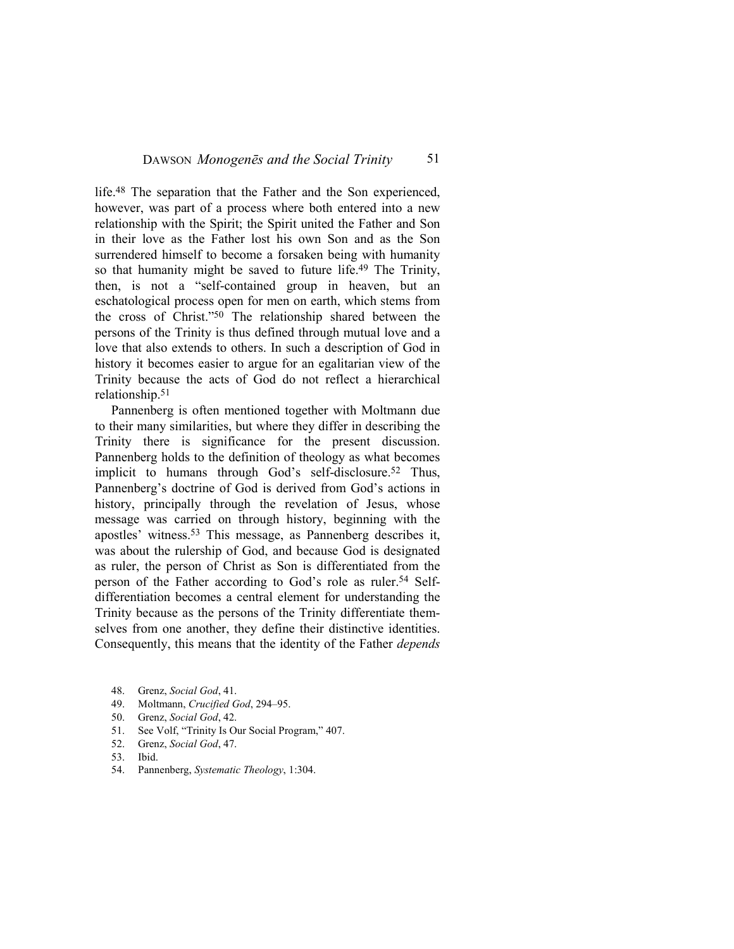life.48 The separation that the Father and the Son experienced, however, was part of a process where both entered into a new relationship with the Spirit; the Spirit united the Father and Son in their love as the Father lost his own Son and as the Son surrendered himself to become a forsaken being with humanity so that humanity might be saved to future life.<sup>49</sup> The Trinity, then, is not a "self-contained group in heaven, but an eschatological process open for men on earth, which stems from the cross of Christ."50 The relationship shared between the persons of the Trinity is thus defined through mutual love and a love that also extends to others. In such a description of God in history it becomes easier to argue for an egalitarian view of the Trinity because the acts of God do not reflect a hierarchical relationship.<sup>51</sup>

Pannenberg is often mentioned together with Moltmann due to their many similarities, but where they differ in describing the Trinity there is significance for the present discussion. Pannenberg holds to the definition of theology as what becomes implicit to humans through God's self-disclosure.<sup>52</sup> Thus, Pannenberg's doctrine of God is derived from God's actions in history, principally through the revelation of Jesus, whose message was carried on through history, beginning with the apostles' witness.53 This message, as Pannenberg describes it, was about the rulership of God, and because God is designated as ruler, the person of Christ as Son is differentiated from the person of the Father according to God's role as ruler.<sup>54</sup> Selfdifferentiation becomes a central element for understanding the Trinity because as the persons of the Trinity differentiate themselves from one another, they define their distinctive identities. Consequently, this means that the identity of the Father *depends*

- 49. Moltmann, *Crucified God*, 294–95.
- 50. Grenz, *Social God*, 42.
- 51. See Volf, "Trinity Is Our Social Program," 407.
- 52. Grenz, *Social God*, 47.
- 53. Ibid.
- 54. Pannenberg, *Systematic Theology*, 1:304.

<sup>48.</sup> Grenz, *Social God*, 41.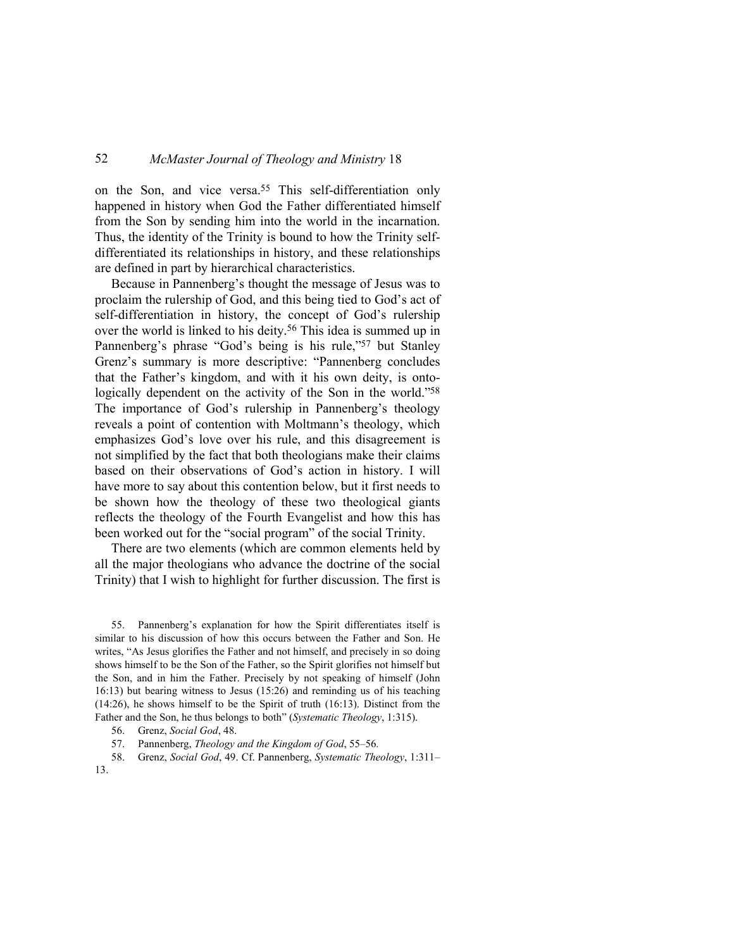on the Son, and vice versa.<sup>55</sup> This self-differentiation only happened in history when God the Father differentiated himself from the Son by sending him into the world in the incarnation. Thus, the identity of the Trinity is bound to how the Trinity selfdifferentiated its relationships in history, and these relationships are defined in part by hierarchical characteristics.

Because in Pannenberg's thought the message of Jesus was to proclaim the rulership of God, and this being tied to God's act of self-differentiation in history, the concept of God's rulership over the world is linked to his deity.<sup>56</sup> This idea is summed up in Pannenberg's phrase "God's being is his rule,"57 but Stanley Grenz's summary is more descriptive: "Pannenberg concludes that the Father's kingdom, and with it his own deity, is ontologically dependent on the activity of the Son in the world."58 The importance of God's rulership in Pannenberg's theology reveals a point of contention with Moltmann's theology, which emphasizes God's love over his rule, and this disagreement is not simplified by the fact that both theologians make their claims based on their observations of God's action in history. I will have more to say about this contention below, but it first needs to be shown how the theology of these two theological giants reflects the theology of the Fourth Evangelist and how this has been worked out for the "social program" of the social Trinity.

There are two elements (which are common elements held by all the major theologians who advance the doctrine of the social Trinity) that I wish to highlight for further discussion. The first is

55. Pannenberg's explanation for how the Spirit differentiates itself is similar to his discussion of how this occurs between the Father and Son. He writes, "As Jesus glorifies the Father and not himself, and precisely in so doing shows himself to be the Son of the Father, so the Spirit glorifies not himself but the Son, and in him the Father. Precisely by not speaking of himself (John 16:13) but bearing witness to Jesus (15:26) and reminding us of his teaching (14:26), he shows himself to be the Spirit of truth (16:13). Distinct from the Father and the Son, he thus belongs to both" (*Systematic Theology*, 1:315).

- 56. Grenz, *Social God*, 48.
- 57. Pannenberg, *Theology and the Kingdom of God*, 55–56*.*
- 58. Grenz, *Social God*, 49. Cf. Pannenberg, *Systematic Theology*, 1:311– 13.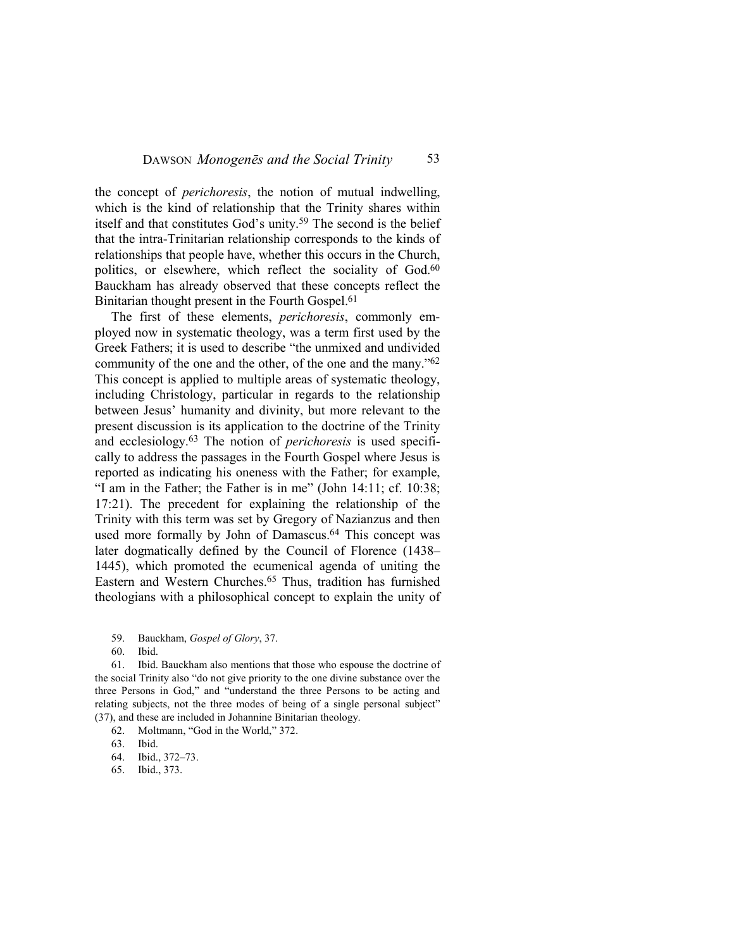the concept of *perichoresis*, the notion of mutual indwelling, which is the kind of relationship that the Trinity shares within itself and that constitutes God's unity.59 The second is the belief that the intra-Trinitarian relationship corresponds to the kinds of relationships that people have, whether this occurs in the Church, politics, or elsewhere, which reflect the sociality of God.<sup>60</sup> Bauckham has already observed that these concepts reflect the Binitarian thought present in the Fourth Gospel.<sup>61</sup>

The first of these elements, *perichoresis*, commonly employed now in systematic theology, was a term first used by the Greek Fathers; it is used to describe "the unmixed and undivided community of the one and the other, of the one and the many."<sup>62</sup> This concept is applied to multiple areas of systematic theology, including Christology, particular in regards to the relationship between Jesus' humanity and divinity, but more relevant to the present discussion is its application to the doctrine of the Trinity and ecclesiology.63 The notion of *perichoresis* is used specifically to address the passages in the Fourth Gospel where Jesus is reported as indicating his oneness with the Father; for example, "I am in the Father; the Father is in me" (John 14:11; cf. 10:38; 17:21). The precedent for explaining the relationship of the Trinity with this term was set by Gregory of Nazianzus and then used more formally by John of Damascus.<sup>64</sup> This concept was later dogmatically defined by the Council of Florence (1438– 1445), which promoted the ecumenical agenda of uniting the Eastern and Western Churches.65 Thus, tradition has furnished theologians with a philosophical concept to explain the unity of

60. Ibid.

61. Ibid. Bauckham also mentions that those who espouse the doctrine of the social Trinity also "do not give priority to the one divine substance over the three Persons in God," and "understand the three Persons to be acting and relating subjects, not the three modes of being of a single personal subject" (37), and these are included in Johannine Binitarian theology.

- 62. Moltmann, "God in the World," 372.
- 63. Ibid.
- 64. Ibid., 372–73.
- 65. Ibid., 373.

<sup>59.</sup> Bauckham, *Gospel of Glory*, 37.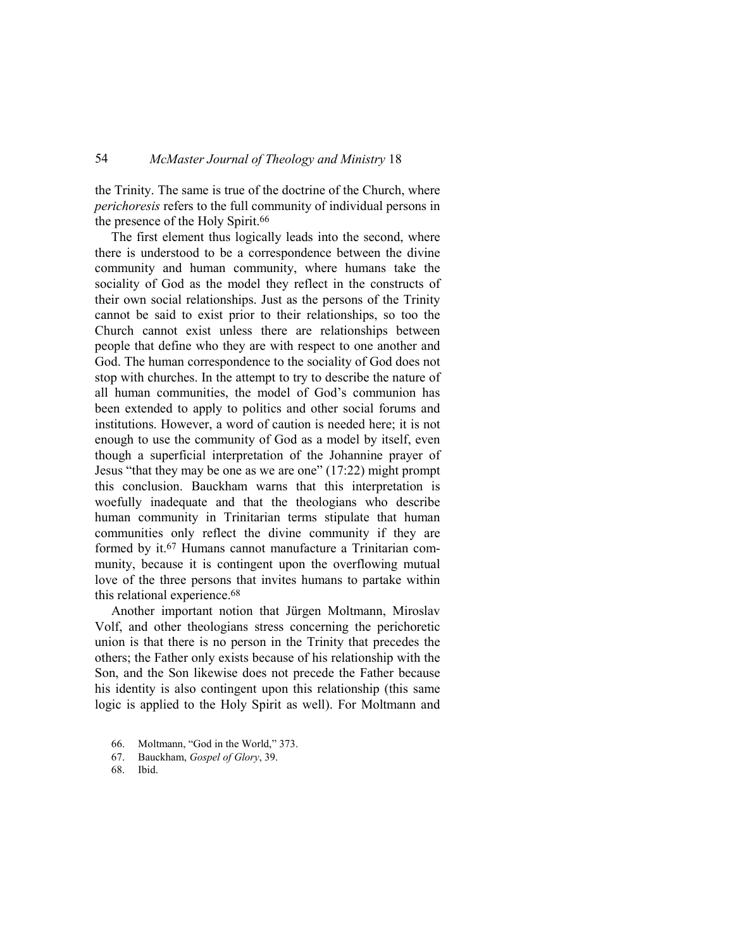the Trinity. The same is true of the doctrine of the Church, where *perichoresis* refers to the full community of individual persons in the presence of the Holy Spirit.<sup>66</sup>

The first element thus logically leads into the second, where there is understood to be a correspondence between the divine community and human community, where humans take the sociality of God as the model they reflect in the constructs of their own social relationships. Just as the persons of the Trinity cannot be said to exist prior to their relationships, so too the Church cannot exist unless there are relationships between people that define who they are with respect to one another and God. The human correspondence to the sociality of God does not stop with churches. In the attempt to try to describe the nature of all human communities, the model of God's communion has been extended to apply to politics and other social forums and institutions. However, a word of caution is needed here; it is not enough to use the community of God as a model by itself, even though a superficial interpretation of the Johannine prayer of Jesus "that they may be one as we are one" (17:22) might prompt this conclusion. Bauckham warns that this interpretation is woefully inadequate and that the theologians who describe human community in Trinitarian terms stipulate that human communities only reflect the divine community if they are formed by it.67 Humans cannot manufacture a Trinitarian community, because it is contingent upon the overflowing mutual love of the three persons that invites humans to partake within this relational experience.<sup>68</sup>

Another important notion that Jürgen Moltmann, Miroslav Volf, and other theologians stress concerning the perichoretic union is that there is no person in the Trinity that precedes the others; the Father only exists because of his relationship with the Son, and the Son likewise does not precede the Father because his identity is also contingent upon this relationship (this same logic is applied to the Holy Spirit as well). For Moltmann and

- 66. Moltmann, "God in the World," 373.
- 67. Bauckham, *Gospel of Glory*, 39.
- 68. Ibid.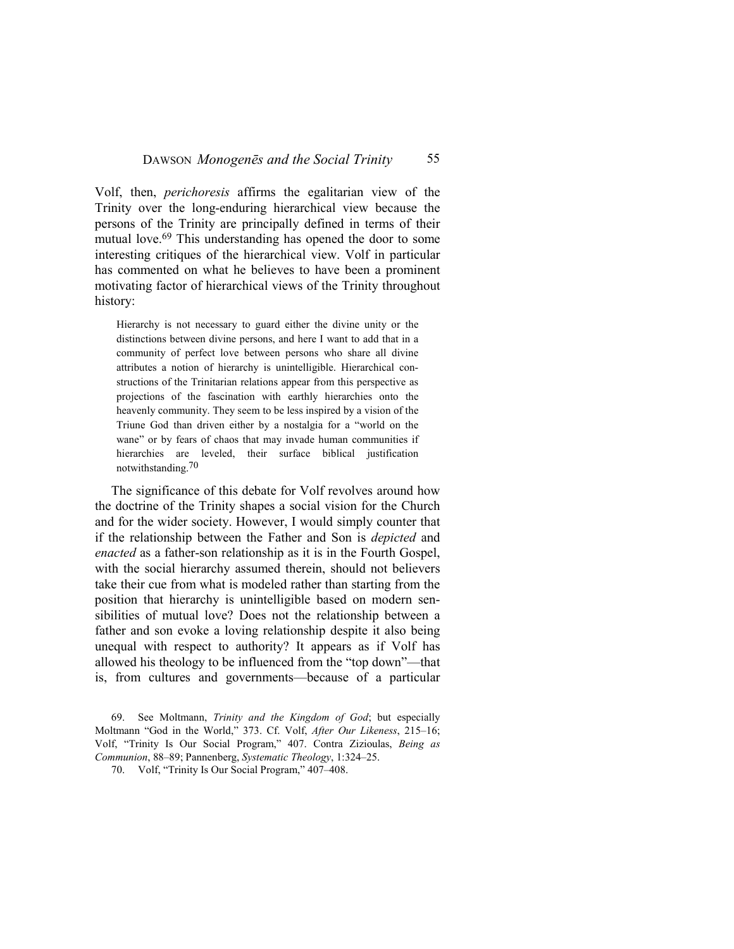Volf, then, *perichoresis* affirms the egalitarian view of the Trinity over the long-enduring hierarchical view because the persons of the Trinity are principally defined in terms of their mutual love.<sup>69</sup> This understanding has opened the door to some interesting critiques of the hierarchical view. Volf in particular has commented on what he believes to have been a prominent motivating factor of hierarchical views of the Trinity throughout history:

Hierarchy is not necessary to guard either the divine unity or the distinctions between divine persons, and here I want to add that in a community of perfect love between persons who share all divine attributes a notion of hierarchy is unintelligible. Hierarchical constructions of the Trinitarian relations appear from this perspective as projections of the fascination with earthly hierarchies onto the heavenly community. They seem to be less inspired by a vision of the Triune God than driven either by a nostalgia for a "world on the wane" or by fears of chaos that may invade human communities if hierarchies are leveled, their surface biblical justification notwithstanding.70

The significance of this debate for Volf revolves around how the doctrine of the Trinity shapes a social vision for the Church and for the wider society. However, I would simply counter that if the relationship between the Father and Son is *depicted* and *enacted* as a father-son relationship as it is in the Fourth Gospel, with the social hierarchy assumed therein, should not believers take their cue from what is modeled rather than starting from the position that hierarchy is unintelligible based on modern sensibilities of mutual love? Does not the relationship between a father and son evoke a loving relationship despite it also being unequal with respect to authority? It appears as if Volf has allowed his theology to be influenced from the "top down"—that is, from cultures and governments—because of a particular

69. See Moltmann, *Trinity and the Kingdom of God*; but especially Moltmann "God in the World," 373. Cf. Volf, *After Our Likeness*, 215–16; Volf, "Trinity Is Our Social Program," 407. Contra Zizioulas, *Being as Communion*, 88–89; Pannenberg, *Systematic Theology*, 1:324–25.

70. Volf, "Trinity Is Our Social Program," 407–408.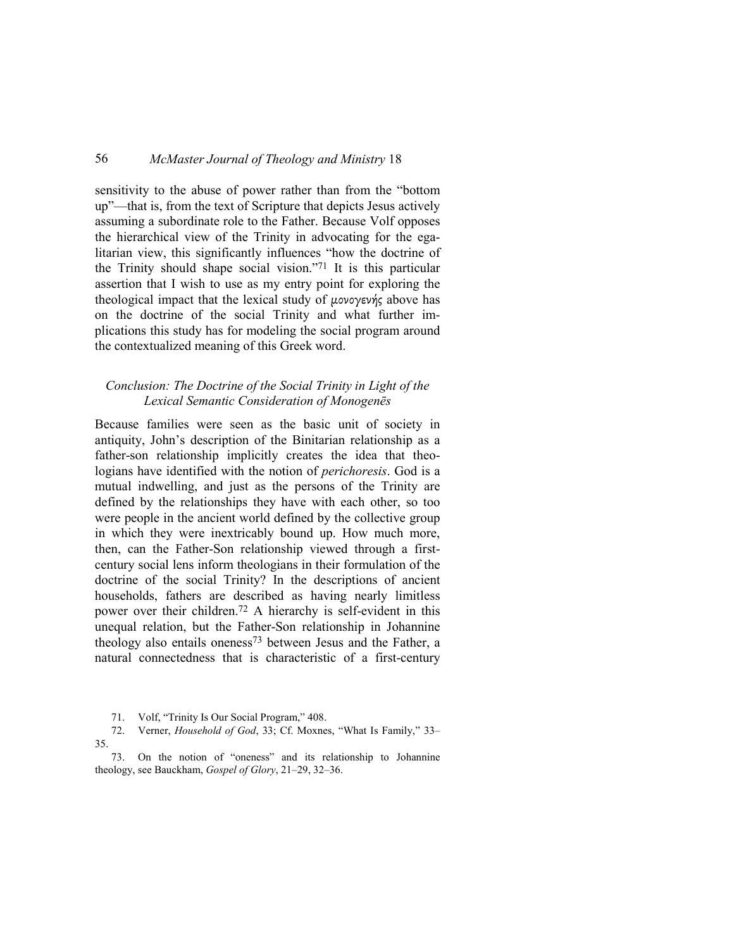sensitivity to the abuse of power rather than from the "bottom up"—that is, from the text of Scripture that depicts Jesus actively assuming a subordinate role to the Father. Because Volf opposes the hierarchical view of the Trinity in advocating for the egalitarian view, this significantly influences "how the doctrine of the Trinity should shape social vision."71 It is this particular assertion that I wish to use as my entry point for exploring the theological impact that the lexical study of µονογενής above has on the doctrine of the social Trinity and what further implications this study has for modeling the social program around the contextualized meaning of this Greek word.

### *Conclusion: The Doctrine of the Social Trinity in Light of the Lexical Semantic Consideration of Monogenēs*

Because families were seen as the basic unit of society in antiquity, John's description of the Binitarian relationship as a father-son relationship implicitly creates the idea that theologians have identified with the notion of *perichoresis*. God is a mutual indwelling, and just as the persons of the Trinity are defined by the relationships they have with each other, so too were people in the ancient world defined by the collective group in which they were inextricably bound up. How much more, then, can the Father-Son relationship viewed through a firstcentury social lens inform theologians in their formulation of the doctrine of the social Trinity? In the descriptions of ancient households, fathers are described as having nearly limitless power over their children.72 A hierarchy is self-evident in this unequal relation, but the Father-Son relationship in Johannine theology also entails oneness<sup>73</sup> between Jesus and the Father, a natural connectedness that is characteristic of a first-century

<sup>71.</sup> Volf, "Trinity Is Our Social Program," 408.

<sup>72.</sup> Verner, *Household of God*, 33; Cf. Moxnes, "What Is Family," 33– 35.

<sup>73.</sup> On the notion of "oneness" and its relationship to Johannine theology, see Bauckham, *Gospel of Glory*, 21–29, 32–36.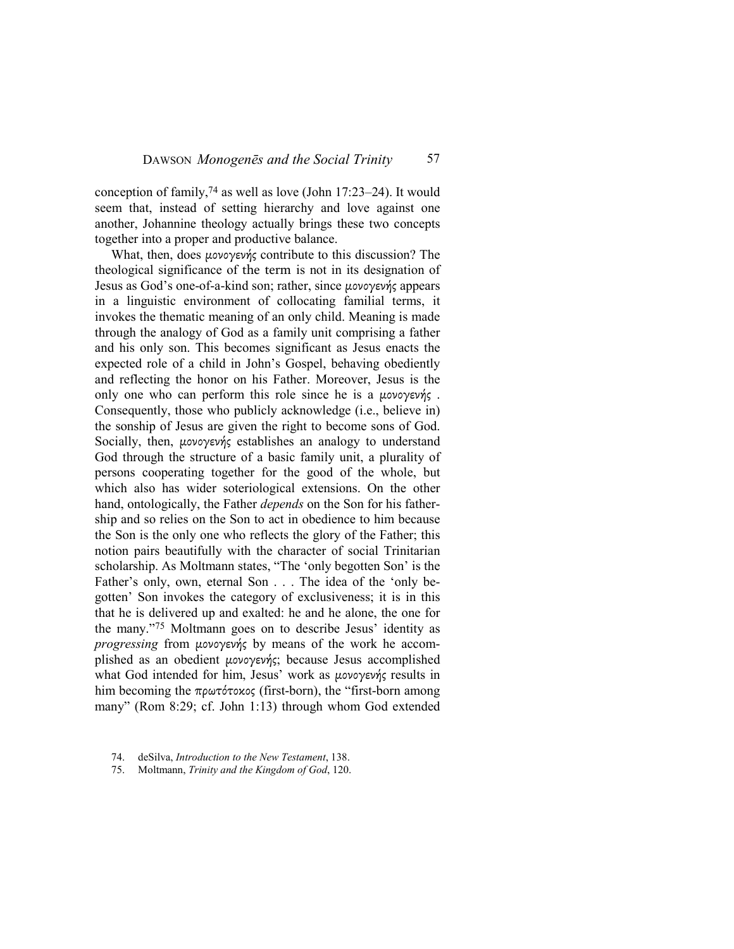conception of family,  $74$  as well as love (John 17:23–24). It would seem that, instead of setting hierarchy and love against one another, Johannine theology actually brings these two concepts together into a proper and productive balance.

What, then, does µονογενής contribute to this discussion? The theological significance of the term is not in its designation of Jesus as God's one-of-a-kind son; rather, since µονογενής appears in a linguistic environment of collocating familial terms, it invokes the thematic meaning of an only child. Meaning is made through the analogy of God as a family unit comprising a father and his only son. This becomes significant as Jesus enacts the expected role of a child in John's Gospel, behaving obediently and reflecting the honor on his Father. Moreover, Jesus is the only one who can perform this role since he is a µονογενής . Consequently, those who publicly acknowledge (i.e., believe in) the sonship of Jesus are given the right to become sons of God. Socially, then, μονογενής establishes an analogy to understand God through the structure of a basic family unit, a plurality of persons cooperating together for the good of the whole, but which also has wider soteriological extensions. On the other hand, ontologically, the Father *depends* on the Son for his fathership and so relies on the Son to act in obedience to him because the Son is the only one who reflects the glory of the Father; this notion pairs beautifully with the character of social Trinitarian scholarship. As Moltmann states, "The 'only begotten Son' is the Father's only, own, eternal Son . . . The idea of the 'only begotten' Son invokes the category of exclusiveness; it is in this that he is delivered up and exalted: he and he alone, the one for the many."75 Moltmann goes on to describe Jesus' identity as *progressing* from µονογενής by means of the work he accomplished as an obedient µονογενής; because Jesus accomplished what God intended for him, Jesus' work as µονογενής results in him becoming the πρωτότοκος (first-born), the "first-born among many" (Rom 8:29; cf. John 1:13) through whom God extended

<sup>74.</sup> deSilva, *Introduction to the New Testament*, 138.

<sup>75.</sup> Moltmann, *Trinity and the Kingdom of God*, 120.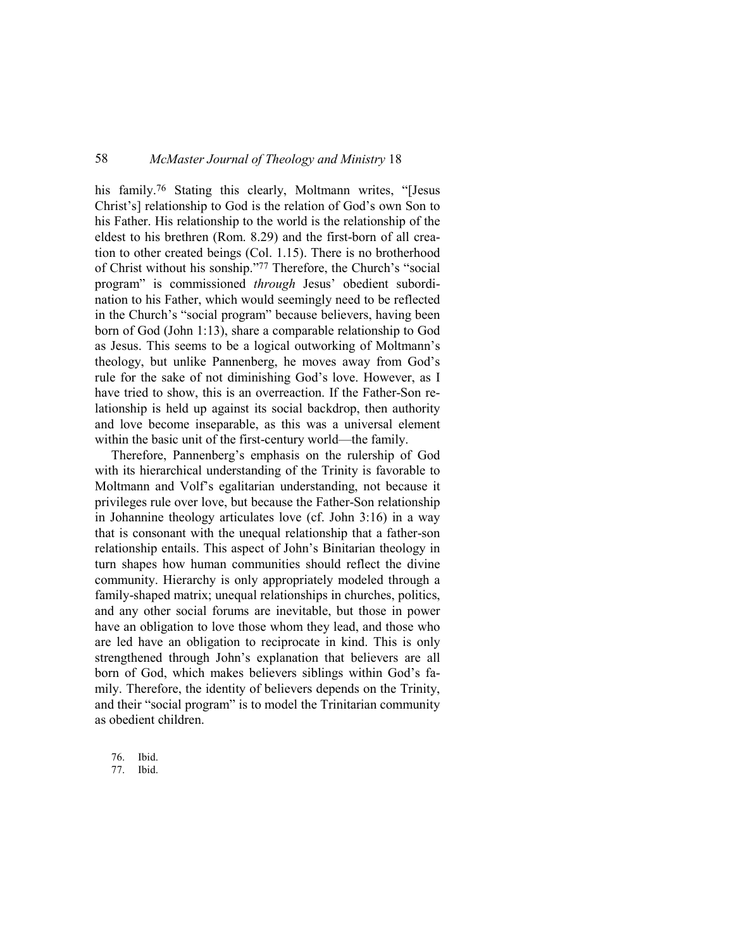his family.<sup>76</sup> Stating this clearly, Moltmann writes, "[Jesus Christ's] relationship to God is the relation of God's own Son to his Father. His relationship to the world is the relationship of the eldest to his brethren (Rom. 8.29) and the first-born of all creation to other created beings (Col. 1.15). There is no brotherhood of Christ without his sonship."77 Therefore, the Church's "social program" is commissioned *through* Jesus' obedient subordination to his Father, which would seemingly need to be reflected in the Church's "social program" because believers, having been born of God (John 1:13), share a comparable relationship to God as Jesus. This seems to be a logical outworking of Moltmann's theology, but unlike Pannenberg, he moves away from God's rule for the sake of not diminishing God's love. However, as I have tried to show, this is an overreaction. If the Father-Son relationship is held up against its social backdrop, then authority and love become inseparable, as this was a universal element within the basic unit of the first-century world—the family.

Therefore, Pannenberg's emphasis on the rulership of God with its hierarchical understanding of the Trinity is favorable to Moltmann and Volf's egalitarian understanding, not because it privileges rule over love, but because the Father-Son relationship in Johannine theology articulates love (cf. John 3:16) in a way that is consonant with the unequal relationship that a father-son relationship entails. This aspect of John's Binitarian theology in turn shapes how human communities should reflect the divine community. Hierarchy is only appropriately modeled through a family-shaped matrix; unequal relationships in churches, politics, and any other social forums are inevitable, but those in power have an obligation to love those whom they lead, and those who are led have an obligation to reciprocate in kind. This is only strengthened through John's explanation that believers are all born of God, which makes believers siblings within God's family. Therefore, the identity of believers depends on the Trinity, and their "social program" is to model the Trinitarian community as obedient children.

76. Ibid.

77. Ibid.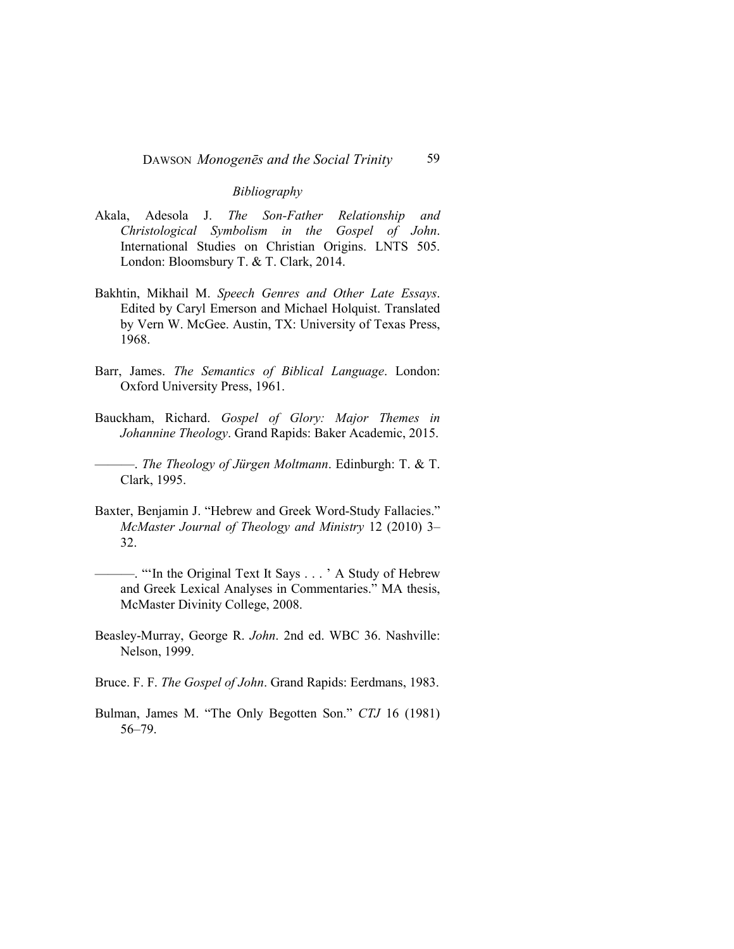#### *Bibliography*

- Akala, Adesola J. *The Son-Father Relationship and Christological Symbolism in the Gospel of John*. International Studies on Christian Origins. LNTS 505. London: Bloomsbury T. & T. Clark, 2014.
- Bakhtin, Mikhail M. *Speech Genres and Other Late Essays*. Edited by Caryl Emerson and Michael Holquist. Translated by Vern W. McGee. Austin, TX: University of Texas Press, 1968.
- Barr, James. *The Semantics of Biblical Language*. London: Oxford University Press, 1961.
- Bauckham, Richard. *Gospel of Glory: Major Themes in Johannine Theology*. Grand Rapids: Baker Academic, 2015.

———. *The Theology of Jürgen Moltmann*. Edinburgh: T. & T. Clark, 1995.

- Baxter, Benjamin J. "Hebrew and Greek Word-Study Fallacies." *McMaster Journal of Theology and Ministry* 12 (2010) 3– 32.
- ———. "'In the Original Text It Says . . . ' A Study of Hebrew and Greek Lexical Analyses in Commentaries." MA thesis, McMaster Divinity College, 2008.
- Beasley-Murray, George R. *John*. 2nd ed. WBC 36. Nashville: Nelson, 1999.
- Bruce. F. F. *The Gospel of John*. Grand Rapids: Eerdmans, 1983.
- Bulman, James M. "The Only Begotten Son." *CTJ* 16 (1981) 56–79.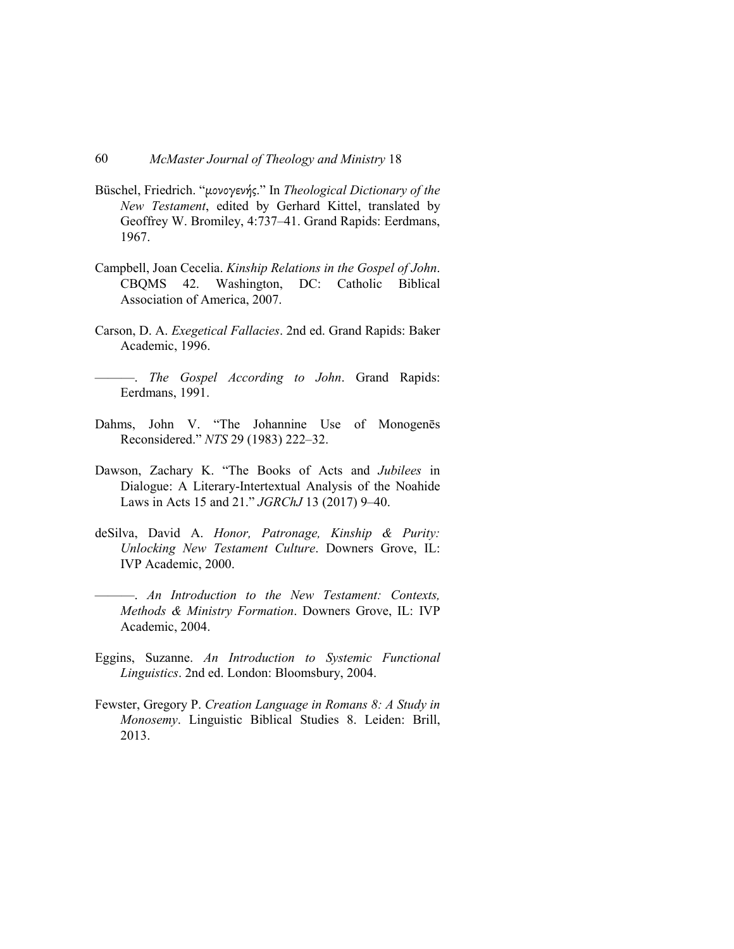- Büschel, Friedrich. "µονογενής." In *Theological Dictionary of the New Testament*, edited by Gerhard Kittel, translated by Geoffrey W. Bromiley, 4:737–41. Grand Rapids: Eerdmans, 1967.
- Campbell, Joan Cecelia. *Kinship Relations in the Gospel of John*. CBQMS 42. Washington, DC: Catholic Biblical Association of America, 2007.
- Carson, D. A. *Exegetical Fallacies*. 2nd ed. Grand Rapids: Baker Academic, 1996.
- ———. *The Gospel According to John*. Grand Rapids: Eerdmans, 1991.
- Dahms, John V. "The Johannine Use of Monogenēs Reconsidered." *NTS* 29 (1983) 222–32.
- Dawson, Zachary K. "The Books of Acts and *Jubilees* in Dialogue: A Literary-Intertextual Analysis of the Noahide Laws in Acts 15 and 21." *JGRChJ* 13 (2017) 9–40.
- deSilva, David A. *Honor, Patronage, Kinship & Purity: Unlocking New Testament Culture*. Downers Grove, IL: IVP Academic, 2000.
- ———. *An Introduction to the New Testament: Contexts, Methods & Ministry Formation*. Downers Grove, IL: IVP Academic, 2004.
- Eggins, Suzanne. *An Introduction to Systemic Functional Linguistics*. 2nd ed. London: Bloomsbury, 2004.
- Fewster, Gregory P. *Creation Language in Romans 8: A Study in Monosemy*. Linguistic Biblical Studies 8. Leiden: Brill, 2013.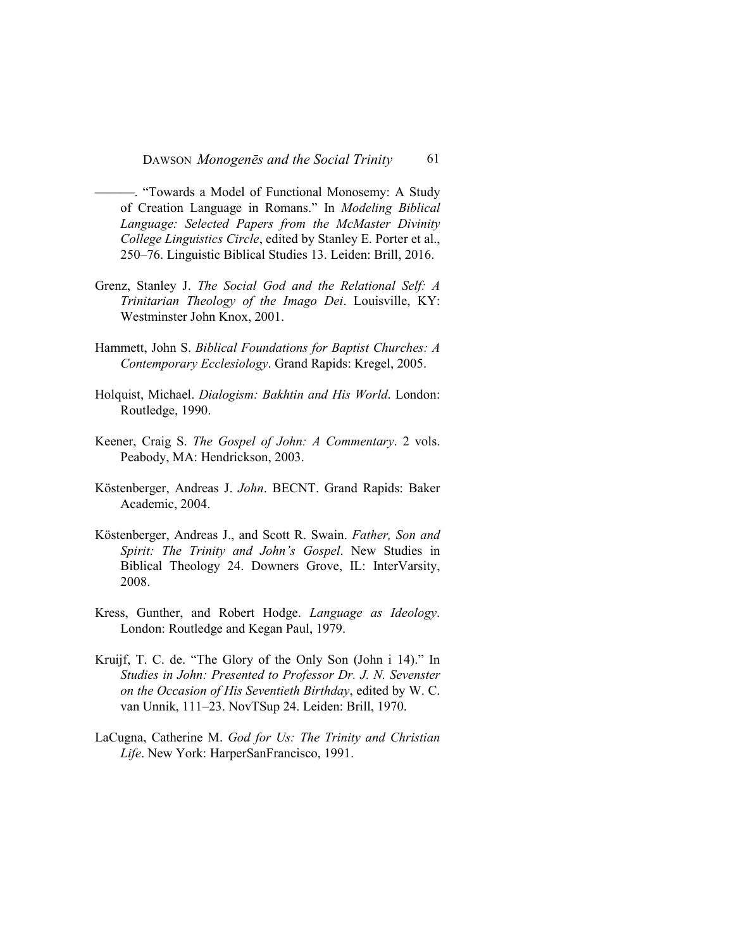- ———. "Towards a Model of Functional Monosemy: A Study of Creation Language in Romans." In *Modeling Biblical Language: Selected Papers from the McMaster Divinity College Linguistics Circle*, edited by Stanley E. Porter et al., 250–76. Linguistic Biblical Studies 13. Leiden: Brill, 2016.
- Grenz, Stanley J. *The Social God and the Relational Self: A Trinitarian Theology of the Imago Dei*. Louisville, KY: Westminster John Knox, 2001.
- Hammett, John S. *Biblical Foundations for Baptist Churches: A Contemporary Ecclesiology*. Grand Rapids: Kregel, 2005.
- Holquist, Michael. *Dialogism: Bakhtin and His World*. London: Routledge, 1990.
- Keener, Craig S. *The Gospel of John: A Commentary*. 2 vols. Peabody, MA: Hendrickson, 2003.
- Köstenberger, Andreas J. *John*. BECNT. Grand Rapids: Baker Academic, 2004.
- Köstenberger, Andreas J., and Scott R. Swain. *Father, Son and Spirit: The Trinity and John's Gospel*. New Studies in Biblical Theology 24. Downers Grove, IL: InterVarsity, 2008.
- Kress, Gunther, and Robert Hodge. *Language as Ideology*. London: Routledge and Kegan Paul, 1979.
- Kruijf, T. C. de. "The Glory of the Only Son (John i 14)." In *Studies in John: Presented to Professor Dr. J. N. Sevenster on the Occasion of His Seventieth Birthday*, edited by W. C. van Unnik, 111–23. NovTSup 24. Leiden: Brill, 1970.
- LaCugna, Catherine M. *God for Us: The Trinity and Christian Life*. New York: HarperSanFrancisco, 1991.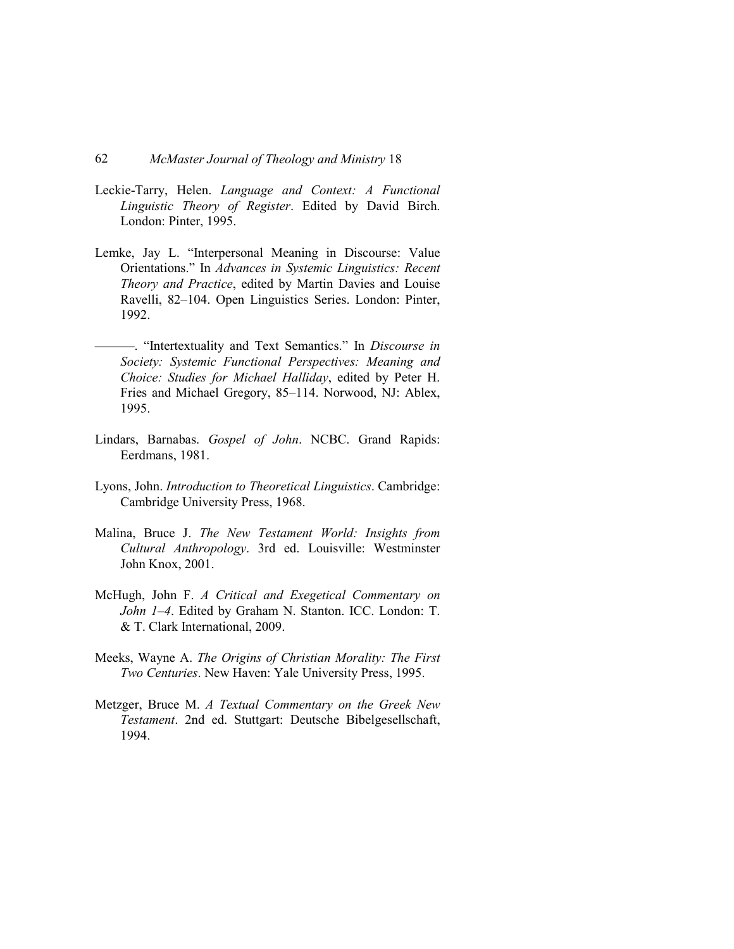- Leckie-Tarry, Helen. *Language and Context: A Functional Linguistic Theory of Register*. Edited by David Birch. London: Pinter, 1995.
- Lemke, Jay L. "Interpersonal Meaning in Discourse: Value Orientations." In *Advances in Systemic Linguistics: Recent Theory and Practice*, edited by Martin Davies and Louise Ravelli, 82–104. Open Linguistics Series. London: Pinter, 1992.
- ———. "Intertextuality and Text Semantics." In *Discourse in Society: Systemic Functional Perspectives: Meaning and Choice: Studies for Michael Halliday*, edited by Peter H. Fries and Michael Gregory, 85–114. Norwood, NJ: Ablex, 1995.
- Lindars, Barnabas. *Gospel of John*. NCBC. Grand Rapids: Eerdmans, 1981.
- Lyons, John. *Introduction to Theoretical Linguistics*. Cambridge: Cambridge University Press, 1968.
- Malina, Bruce J. *The New Testament World: Insights from Cultural Anthropology*. 3rd ed. Louisville: Westminster John Knox, 2001.
- McHugh, John F. *A Critical and Exegetical Commentary on John 1–4*. Edited by Graham N. Stanton. ICC. London: T. & T. Clark International, 2009.
- Meeks, Wayne A. *The Origins of Christian Morality: The First Two Centuries*. New Haven: Yale University Press, 1995.
- Metzger, Bruce M. *A Textual Commentary on the Greek New Testament*. 2nd ed. Stuttgart: Deutsche Bibelgesellschaft, 1994.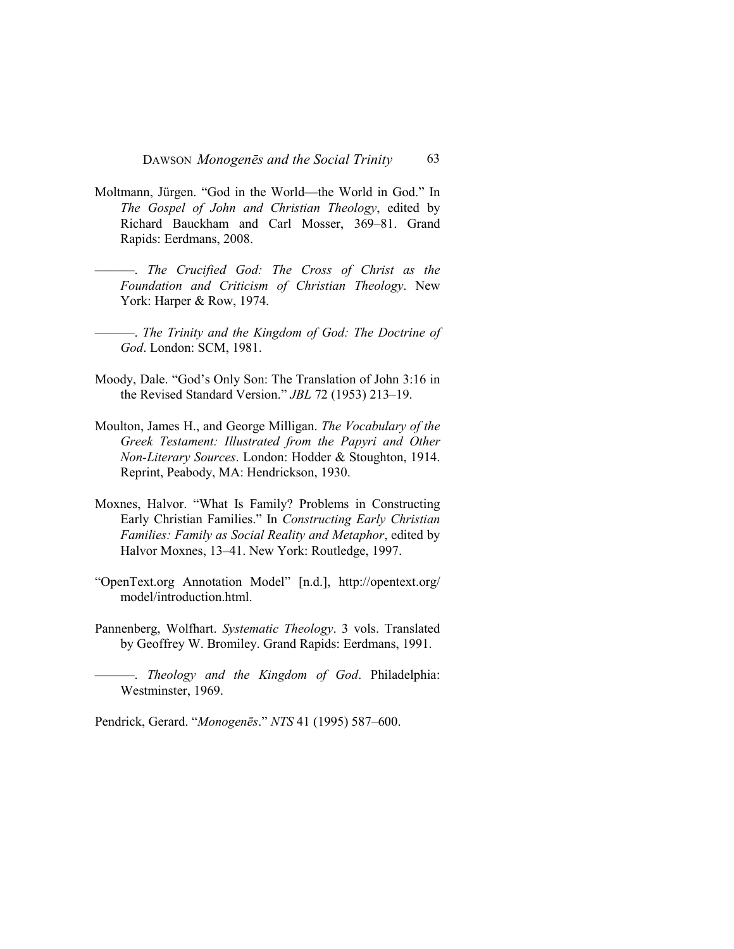- Moltmann, Jürgen. "God in the World—the World in God." In *The Gospel of John and Christian Theology*, edited by Richard Bauckham and Carl Mosser, 369–81. Grand Rapids: Eerdmans, 2008.
- ———. *The Crucified God: The Cross of Christ as the Foundation and Criticism of Christian Theology*. New York: Harper & Row, 1974.
	- ———. *The Trinity and the Kingdom of God: The Doctrine of God*. London: SCM, 1981.
- Moody, Dale. "God's Only Son: The Translation of John 3:16 in the Revised Standard Version." *JBL* 72 (1953) 213–19.
- Moulton, James H., and George Milligan. *The Vocabulary of the Greek Testament: Illustrated from the Papyri and Other Non-Literary Sources*. London: Hodder & Stoughton, 1914. Reprint, Peabody, MA: Hendrickson, 1930.
- Moxnes, Halvor. "What Is Family? Problems in Constructing Early Christian Families." In *Constructing Early Christian Families: Family as Social Reality and Metaphor*, edited by Halvor Moxnes, 13–41. New York: Routledge, 1997.
- "OpenText.org Annotation Model" [n.d.], http://opentext.org/ model/introduction.html.
- Pannenberg, Wolfhart. *Systematic Theology*. 3 vols. Translated by Geoffrey W. Bromiley. Grand Rapids: Eerdmans, 1991.

———. *Theology and the Kingdom of God*. Philadelphia: Westminster, 1969.

Pendrick, Gerard. "*Monogenēs*." *NTS* 41 (1995) 587–600.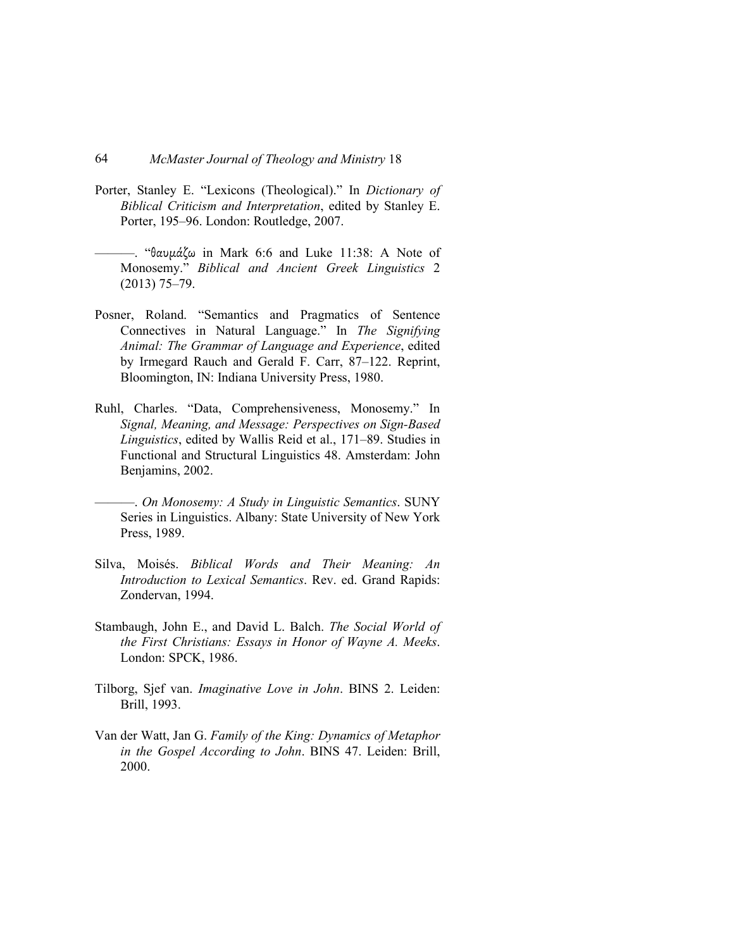- Porter, Stanley E. "Lexicons (Theological)." In *Dictionary of Biblical Criticism and Interpretation*, edited by Stanley E. Porter, 195–96. London: Routledge, 2007.
- —. "θαυμάζω in Mark 6:6 and Luke 11:38: A Note of Monosemy." *Biblical and Ancient Greek Linguistics* 2 (2013) 75–79.
- Posner, Roland. "Semantics and Pragmatics of Sentence Connectives in Natural Language." In *The Signifying Animal: The Grammar of Language and Experience*, edited by Irmegard Rauch and Gerald F. Carr, 87–122. Reprint, Bloomington, IN: Indiana University Press, 1980.
- Ruhl, Charles. "Data, Comprehensiveness, Monosemy." In *Signal, Meaning, and Message: Perspectives on Sign-Based Linguistics*, edited by Wallis Reid et al., 171–89. Studies in Functional and Structural Linguistics 48. Amsterdam: John Benjamins, 2002.
- ———. *On Monosemy: A Study in Linguistic Semantics*. SUNY Series in Linguistics. Albany: State University of New York Press, 1989.
- Silva, Moisés. *Biblical Words and Their Meaning: An Introduction to Lexical Semantics*. Rev. ed. Grand Rapids: Zondervan, 1994.
- Stambaugh, John E., and David L. Balch. *The Social World of the First Christians: Essays in Honor of Wayne A. Meeks*. London: SPCK, 1986.
- Tilborg, Sjef van. *Imaginative Love in John*. BINS 2. Leiden: Brill, 1993.
- Van der Watt, Jan G. *Family of the King: Dynamics of Metaphor in the Gospel According to John*. BINS 47. Leiden: Brill, 2000.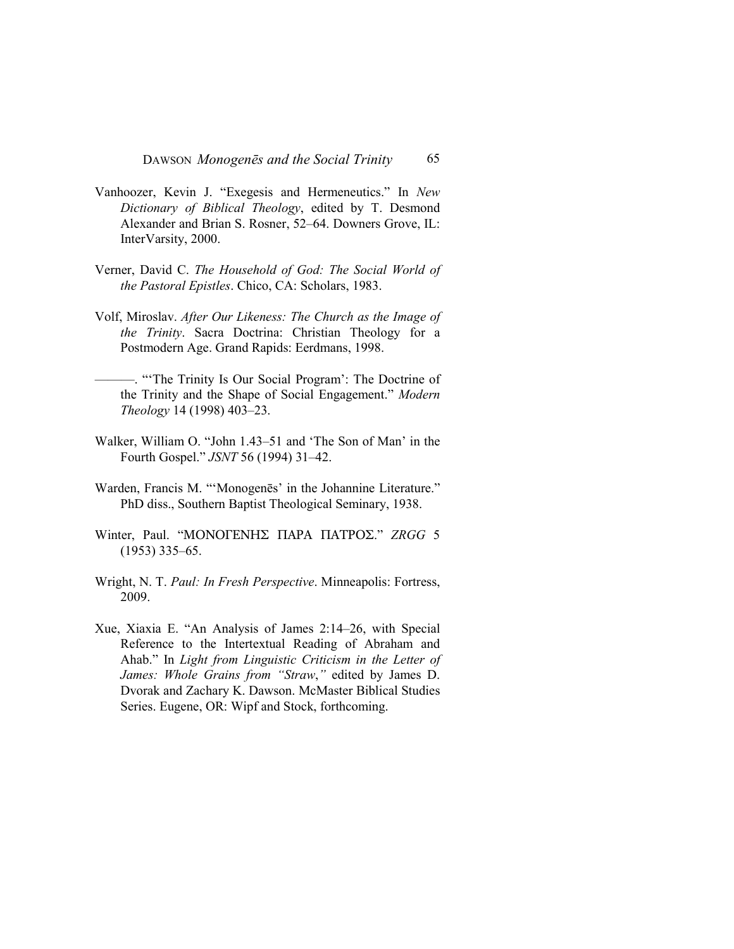DAWSON *Monogenēs and the Social Trinity* 65

- Vanhoozer, Kevin J. "Exegesis and Hermeneutics." In *New Dictionary of Biblical Theology*, edited by T. Desmond Alexander and Brian S. Rosner, 52–64. Downers Grove, IL: InterVarsity, 2000.
- Verner, David C. *The Household of God: The Social World of the Pastoral Epistles*. Chico, CA: Scholars, 1983.
- Volf, Miroslav. *After Our Likeness: The Church as the Image of the Trinity*. Sacra Doctrina: Christian Theology for a Postmodern Age. Grand Rapids: Eerdmans, 1998.
- ———. "'The Trinity Is Our Social Program': The Doctrine of the Trinity and the Shape of Social Engagement." *Modern Theology* 14 (1998) 403–23.
- Walker, William O. "John 1.43–51 and 'The Son of Man' in the Fourth Gospel." *JSNT* 56 (1994) 31–42.
- Warden, Francis M. "'Monogenēs' in the Johannine Literature." PhD diss., Southern Baptist Theological Seminary, 1938.
- Winter, Paul. "ΜΟΝΟΓΕΝΗΣ ΠΑΡΑ ΠΑΤΡΟΣ." *ZRGG* 5 (1953) 335–65.
- Wright, N. T. *Paul: In Fresh Perspective*. Minneapolis: Fortress, 2009.
- Xue, Xiaxia E. "An Analysis of James 2:14–26, with Special Reference to the Intertextual Reading of Abraham and Ahab." In *Light from Linguistic Criticism in the Letter of James: Whole Grains from "Straw*,*"* edited by James D. Dvorak and Zachary K. Dawson. McMaster Biblical Studies Series. Eugene, OR: Wipf and Stock, forthcoming.